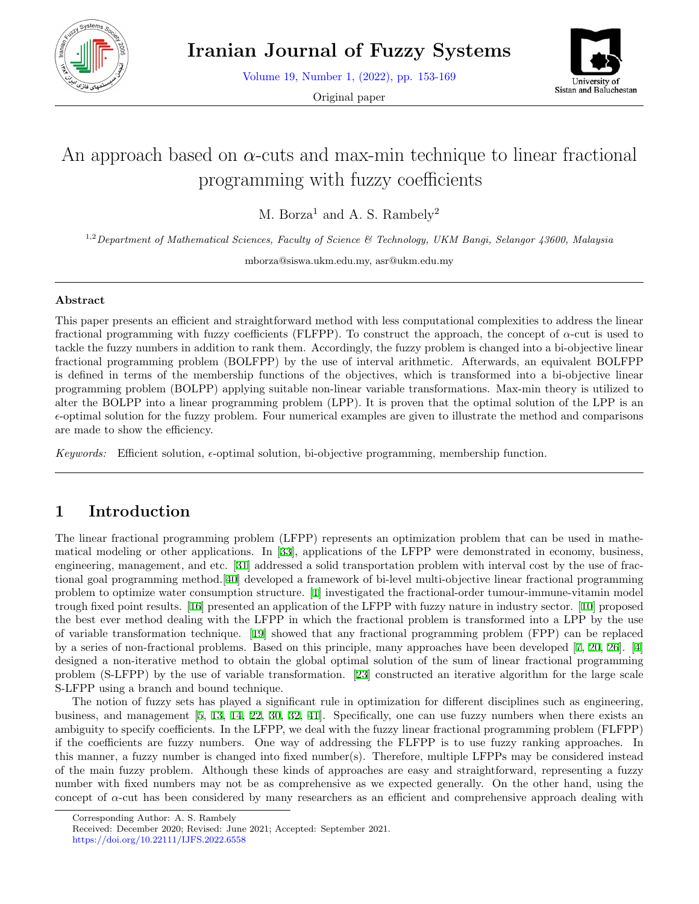

Volume 19, Number 1, (2022), pp. 153-169

Original paper



# An approach based on *α*-cuts and max-min technique to linear fractional programming with fuzzy coefficients

M. Borza<sup>1</sup> and A. S. Rambely<sup>2</sup>

1,2*Department of Mathematical Sciences, Faculty of Science & Technology, UKM Bangi, Selangor 43600, Malaysia*

mborza@siswa.ukm.edu.my, asr@ukm.edu.my

#### **Abstract**

This paper presents an efficient and straightforward method with less computational complexities to address the linear fractional programming with fuzzy coefficients (FLFPP). To construct the approach, the concept of *α*-cut is used to tackle the fuzzy numbers in addition to rank them. Accordingly, the fuzzy problem is changed into a bi-objective linear fractional programming problem (BOLFPP) by the use of interval arithmetic. Afterwards, an equivalent BOLFPP is defined in terms of the membership functions of the objectives, which is transformed into a bi-objective linear programming problem (BOLPP) applying suitable non-linear variable transformations. Max-min theory is utilized to alter the BOLPP into a linear programming problem (LPP). It is proven that the optimal solution of the LPP is an *ϵ*-optimal solution for the fuzzy problem. Four numerical examples are given to illustrate the method and comparisons are made to show the efficiency.

*Keywords:* Efficient solution, *ϵ*-optimal solution, bi-objective programming, membership function.

# **1 Introduction**

The linear fractional programming problem (LFPP) represents an optimization problem that can be used in mathematical modeling or other applications. In [[33](#page-15-0)], applications of the LFPP were demonstrated in economy, business, engineering, management, and etc. [[31\]](#page-15-1) addressed a solid transportation problem with interval cost by the use of fractional goal programming method.[[40\]](#page-16-0) developed a framework of bi-level multi-objective linear fractional programming problem to optimize water consumption structure. [[1](#page-14-0)] investigated the fractional-order tumour-immune-vitamin model trough fixed point results. [\[16](#page-14-1)] presented an application of the LFPP with fuzzy nature in industry sector. [[10](#page-14-2)] proposed the best ever method dealing with the LFPP in which the fractional problem is transformed into a LPP by the use of variable transformation technique. [[19](#page-15-2)] showed that any fractional programming problem (FPP) can be replaced by a series of non-fractional problems. Based on this principle, many approaches have been developed [[7,](#page-14-3) [20,](#page-15-3) [26](#page-15-4)]. [\[4](#page-14-4)] designed a non-iterative method to obtain the global optimal solution of the sum of linear fractional programming problem (S-LFPP) by the use of variable transformation. [[23](#page-15-5)] constructed an iterative algorithm for the large scale S-LFPP using a branch and bound technique.

The notion of fuzzy sets has played a significant rule in optimization for different disciplines such as engineering, business, and management [\[5](#page-14-5), [13](#page-14-6), [14](#page-14-7), [22,](#page-15-6) [30,](#page-15-7) [32,](#page-15-8) [41\]](#page-16-1). Specifically, one can use fuzzy numbers when there exists an ambiguity to specify coefficients. In the LFPP, we deal with the fuzzy linear fractional programming problem (FLFPP) if the coefficients are fuzzy numbers. One way of addressing the FLFPP is to use fuzzy ranking approaches. In this manner, a fuzzy number is changed into fixed number(s). Therefore, multiple LFPPs may be considered instead of the main fuzzy problem. Although these kinds of approaches are easy and straightforward, representing a fuzzy number with fixed numbers may not be as comprehensive as we expected generally. On the other hand, using the concept of *α*-cut has been considered by many researchers as an efficient and comprehensive approach dealing with

Corresponding Author: A. S. Rambely

Received: December 2020; Revised: June 2021; Accepted: September 2021. https://doi.org/10.22111/IJFS.2022.6558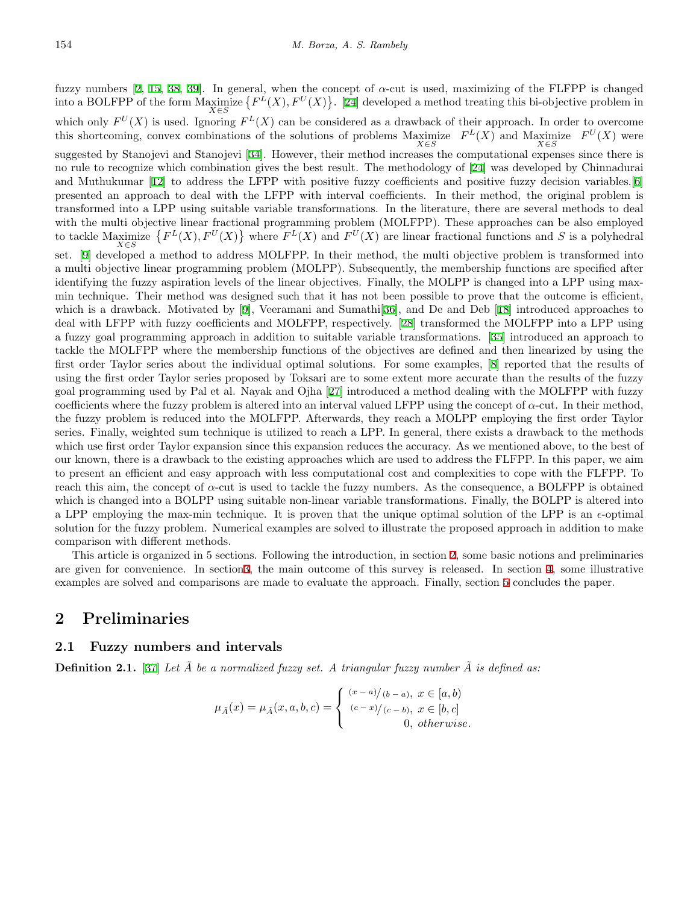fuzzy numbers [[2,](#page-14-8) [15,](#page-14-9) [38](#page-16-2), [39](#page-16-3)]. In general, when the concept of *α*-cut is used, maximizing of the FLFPP is changed into a BOLFPP of the form Maximize *X∈S*  ${F^L(X), F^U(X)}$ . [\[24](#page-15-9)] developed a method treating this bi-objective problem in which only  $F^U(X)$  is used. Ignoring  $F^L(X)$  can be considered as a drawback of their approach. In order to overcome this shortcoming, convex combinations of the solutions of problems Maximize  $F^L(X)$  and Maximize  $F^U(X)$  were suggested by Stanojevi and Stanojevi [[34\]](#page-15-10). However, their method increases the computational expenses since there is no rule to recognize which combination gives the best result. The methodology of [[24\]](#page-15-9) was developed by Chinnadurai and Muthukumar [[12\]](#page-14-10) to address the LFPP with positive fuzzy coefficients and positive fuzzy decision variables.[[6](#page-14-11)] presented an approach to deal with the LFPP with interval coefficients. In their method, the original problem is transformed into a LPP using suitable variable transformations. In the literature, there are several methods to deal with the multi objective linear fractional programming problem (MOLFPP). These approaches can be also employed to tackle Maximize *X∈S*  $\{F^L(X), F^U(X)\}$  where  $F^L(X)$  and  $F^U(X)$  are linear fractional functions and *S* is a polyhedral set. [\[9](#page-14-12)] developed a method to address MOLFPP. In their method, the multi objective problem is transformed into a multi objective linear programming problem (MOLPP). Subsequently, the membership functions are specified after identifying the fuzzy aspiration levels of the linear objectives. Finally, the MOLPP is changed into a LPP using maxmin technique. Their method was designed such that it has not been possible to prove that the outcome is efficient, which is a drawback. Motivated by [\[9](#page-14-12)], Veeramani and Sumathi<sup>[\[36](#page-15-11)]</sup>, and De and Deb [[18\]](#page-15-12) introduced approaches to deal with LFPP with fuzzy coefficients and MOLFPP, respectively. [[28\]](#page-15-13) transformed the MOLFPP into a LPP using a fuzzy goal programming approach in addition to suitable variable transformations. [\[35](#page-15-14)] introduced an approach to tackle the MOLFPP where the membership functions of the objectives are defined and then linearized by using the first order Taylor series about the individual optimal solutions. For some examples, [[8](#page-14-13)] reported that the results of using the first order Taylor series proposed by Toksari are to some extent more accurate than the results of the fuzzy goal programming used by Pal et al. Nayak and Ojha [[27](#page-15-15)] introduced a method dealing with the MOLFPP with fuzzy coefficients where the fuzzy problem is altered into an interval valued LFPP using the concept of  $\alpha$ -cut. In their method, the fuzzy problem is reduced into the MOLFPP. Afterwards, they reach a MOLPP employing the first order Taylor series. Finally, weighted sum technique is utilized to reach a LPP. In general, there exists a drawback to the methods which use first order Taylor expansion since this expansion reduces the accuracy. As we mentioned above, to the best of our known, there is a drawback to the existing approaches which are used to address the FLFPP. In this paper, we aim to present an efficient and easy approach with less computational cost and complexities to cope with the FLFPP. To reach this aim, the concept of  $\alpha$ -cut is used to tackle the fuzzy numbers. As the consequence, a BOLFPP is obtained which is changed into a BOLPP using suitable non-linear variable transformations. Finally, the BOLPP is altered into a LPP employing the max-min technique. It is proven that the unique optimal solution of the LPP is an *ϵ*-optimal solution for the fuzzy problem. Numerical examples are solved to illustrate the proposed approach in addition to make comparison with different methods.

This article is organized in 5 sections. Following the introduction, in section [2](#page-1-0), some basic notions and preliminaries are given for convenience. In section[3,](#page-3-0) the main outcome of this survey is released. In section [4](#page-7-0), some illustrative examples are solved and comparisons are made to evaluate the approach. Finally, section [5](#page-13-0) concludes the paper.

## <span id="page-1-0"></span>**2 Preliminaries**

### **2.1 Fuzzy numbers and intervals**

**Definition 2.1.** [\[37](#page-15-16)] *Let A be a normalized fuzzy set. A triangular fuzzy number A is defined as:* 

$$
\mu_{\tilde{A}}(x) = \mu_{\tilde{A}}(x, a, b, c) = \begin{cases} (x - a)/(b - a), & x \in [a, b) \\ (c - x)/(c - b), & x \in [b, c] \\ 0, & otherwise. \end{cases}
$$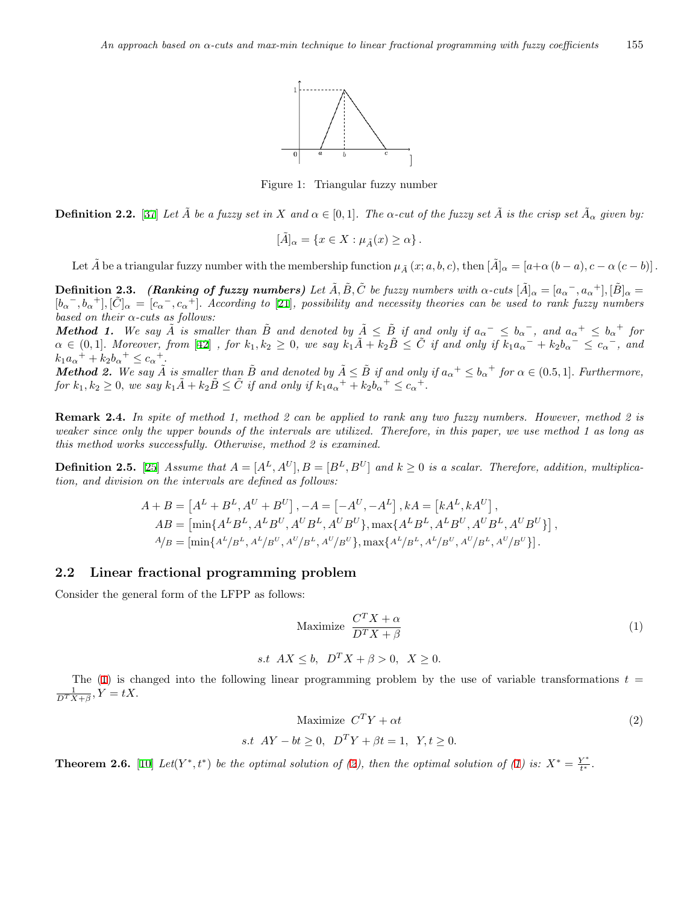

Figure 1: Triangular fuzzy number

**Definition 2.2.** [\[37](#page-15-16)] Let  $\tilde{A}$  be a fuzzy set in X and  $\alpha \in [0,1]$ . The  $\alpha$ -cut of the fuzzy set  $\tilde{A}$  is the crisp set  $\tilde{A}_{\alpha}$  given by:

$$
[\tilde{A}]_{\alpha} = \{ x \in X : \mu_{\tilde{A}}(x) \ge \alpha \} .
$$

Let  $\tilde{A}$  be a triangular fuzzy number with the membership function  $\mu_{\tilde{A}}(x;a,b,c)$ , then  $[\tilde{A}]_{\alpha} = [a+\alpha (b-a), c-\alpha (c-b)]$ .

**Definition 2.3.** (Ranking of fuzzy numbers) Let  $\tilde{A}$ ,  $\tilde{B}$ ,  $\tilde{C}$  be fuzzy numbers with  $\alpha$ -cuts  $[\tilde{A}]_{\alpha}=[a_{\alpha}^-,a_{\alpha}^+], [\tilde{B}]_{\alpha} =$  $[b_\alpha^-, b_\alpha^+], [\tilde{C}]_\alpha = [c_\alpha^-, c_\alpha^+].$  According to [[21\]](#page-15-17), possibility and necessity theories can be used to rank fuzzy numbers *based on their α-cuts as follows:*

**Method 1.** We say  $\tilde{A}$  is smaller than  $\tilde{B}$  and denoted by  $\tilde{A} \leq \tilde{B}$  if and only if  $a_{\alpha}^{-} \leq b_{\alpha}^{-}$ , and  $a_{\alpha}^{+} \leq b_{\alpha}^{+}$  for  $\alpha \in (0,1]$ . Moreover, from [[42\]](#page-16-4), for  $k_1, k_2 \geq 0$ , we say  $k_1 \tilde{A} + k_2 \tilde{B} \leq \tilde{C}$  if and only if  $k_1 a_{\alpha}^{-} + k_2 b_{\alpha}^{-} \leq c_{\alpha}^{-}$ , and  $k_1 a_{\alpha}^+ + k_2 b_{\alpha}^+ \leq c_{\alpha}^+.$ 

**Method 2.** We say  $\tilde{A}$  is smaller than  $\tilde{B}$  and denoted by  $\tilde{A} \leq \tilde{B}$  if and only if  $a_{\alpha}^+ \leq b_{\alpha}^+$  for  $\alpha \in (0.5, 1]$ . Furthermore, for  $k_1, k_2 \geq 0$ , we say  $k_1 \tilde{A} + k_2 \tilde{B} \leq \tilde{C}$  if and only if  $k_1 a_{\alpha}^+ + k_2 b_{\alpha}^+ \leq c_{\alpha}^+$ .

**Remark 2.4.** *In spite of method 1, method 2 can be applied to rank any two fuzzy numbers. However, method 2 is weaker since only the upper bounds of the intervals are utilized. Therefore, in this paper, we use method 1 as long as this method works successfully. Otherwise, method 2 is examined.*

**Definition 2.5.** [\[25](#page-15-18)] Assume that  $A = [A^L, A^U], B = [B^L, B^U]$  and  $k \ge 0$  is a scalar. Therefore, addition, multiplica*tion, and division on the intervals are defined as follows:*

$$
A + B = [AL + BL, AU + BU], -A = [-AU, -AL], kA = [kAL, kAU],AB = [\min\{ALBL, ALBU, AUBL, AUBU\}, \max\{ALBL, ALBU, AUBL, AUBU\}\},A/B = [\min\{AL/BL, AL/BU, AU/BL, AU/BU\}, \max\{AL/BL, AL/BU, AU/BL, AU/BU\}\}].
$$

#### **2.2 Linear fractional programming problem**

Consider the general form of the LFPP as follows:

<span id="page-2-0"></span>
$$
\text{Maximize } \frac{C^T X + \alpha}{D^T X + \beta} \tag{1}
$$

*s.t*  $AX \le b$ ,  $D^T X + \beta > 0$ ,  $X > 0$ .

<span id="page-2-1"></span>The  $(1)$  $(1)$  is changed into the following linear programming problem by the use of variable transformations  $t =$  $\frac{1}{D^T X + \beta}, Y = tX.$ 

$$
\begin{array}{ll}\text{Maximize } C^T Y + \alpha t\\ \text{s.t } AY - bt \ge 0, \ \ D^T Y + \beta t = 1, \ \ Y, t \ge 0. \end{array} \tag{2}
$$

**Theorem [2](#page-2-1).6.** [\[10](#page-14-2)] Let(Y\*,t\*) be the optimal solution of (2), then the optimal solution of ([1\)](#page-2-0) is:  $X^* = \frac{Y^*}{t^*}$ .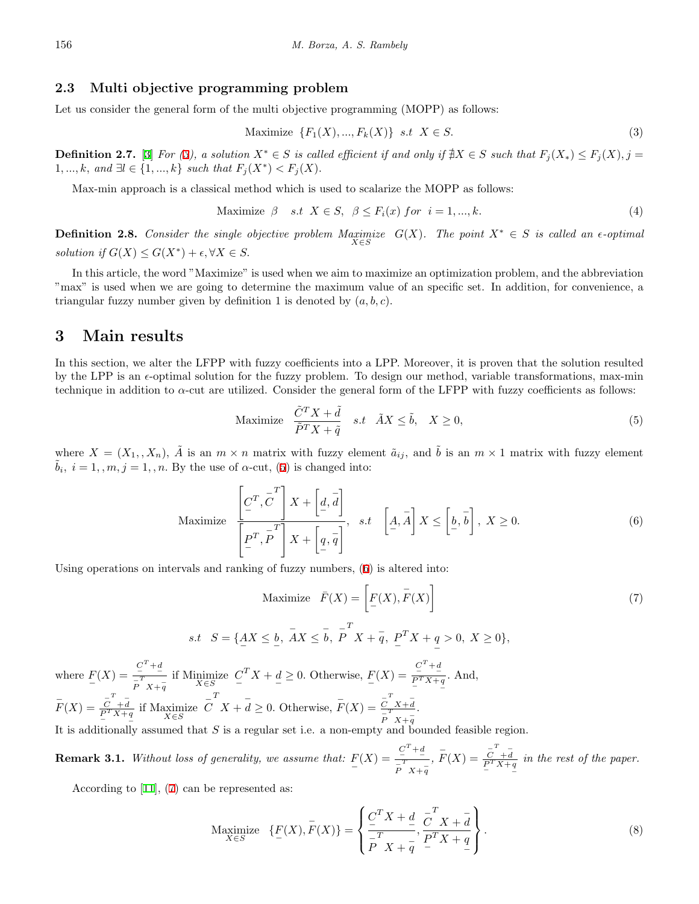#### **2.3 Multi objective programming problem**

Let us consider the general form of the multi objective programming (MOPP) as follows:

<span id="page-3-1"></span>
$$
\text{Maximize } \{F_1(X), ..., F_k(X)\} \quad \text{s.t } X \in S. \tag{3}
$$

**Definition 2.7.** [[3\]](#page-14-14) For [\(3](#page-3-1)), a solution  $X^* \in S$  is called efficient if and only if  $\sharp X \in S$  such that  $F_i(X_*) \leq F_i(X), j =$ 1, ..., *k*, and ∃*l* ∈ {1, ..., *k*} *such that*  $F_j(X^*) < F_j(X)$ .

Max-min approach is a classical method which is used to scalarize the MOPP as follows:

$$
\text{Maximize } \beta \quad s.t \quad X \in S, \quad \beta \le F_i(x) \quad \text{for} \quad i = 1, \dots, k. \tag{4}
$$

**Definition 2.8.** *Consider the single objective problem Maximize*  $\lim_{X \in S} G(X)$ . The point  $X^* \in S$  *is called an*  $\epsilon$ -optimal *solution if*  $G(X) \leq G(X^*) + \epsilon, \forall X \in S$ .

In this article, the word "Maximize" is used when we aim to maximize an optimization problem, and the abbreviation "max" is used when we are going to determine the maximum value of an specific set. In addition, for convenience, a triangular fuzzy number given by definition 1 is denoted by  $(a, b, c)$ *.* 

## <span id="page-3-0"></span>**3 Main results**

In this section, we alter the LFPP with fuzzy coefficients into a LPP. Moreover, it is proven that the solution resulted by the LPP is an *ϵ*-optimal solution for the fuzzy problem. To design our method, variable transformations, max-min technique in addition to *α*-cut are utilized. Consider the general form of the LFPP with fuzzy coefficients as follows:

<span id="page-3-2"></span>
$$
\text{Maximize} \quad \frac{\tilde{C}^T X + \tilde{d}}{\tilde{P}^T X + \tilde{q}} \quad s.t \quad \tilde{A} X \le \tilde{b}, \quad X \ge 0,
$$
\n
$$
(5)
$$

<span id="page-3-3"></span>where  $X = (X_1, X_n)$ ,  $\tilde{A}$  is an  $m \times n$  matrix with fuzzy element  $\tilde{a}_{ij}$ , and  $\tilde{b}$  is an  $m \times 1$  matrix with fuzzy element  $\tilde{b}_i$ ,  $i = 1, m, j = 1, n$ . By the use of  $\alpha$ -cut, [\(5](#page-3-2)) is changed into:

$$
\text{Maximize } \frac{\left[C^T, \overline{C}^T\right]X + \left[d, \overline{d}\right]}{\left[P^T, \overline{P}^T\right]X + \left[q, \overline{q}\right]}, \quad s.t \quad \left[A, \overline{A}\right]X \leq \left[b, \overline{b}\right], \quad X \geq 0. \tag{6}
$$

Using operations on intervals and ranking of fuzzy numbers, [\(6](#page-3-3)) is altered into:

<span id="page-3-4"></span>Maximize 
$$
\overline{F}(X) = \left[ \underline{F}(X), \overline{F}(X) \right]
$$
  
= { $AX \leq b, \overline{A}X \leq \overline{b}, \overline{P}^T X + \overline{q}, \underline{P}^T X + \underline{q} > 0, X \geq 0$ }, (7)

where  $F(X) = \frac{C^T + d}{\frac{T}{P}X + d}$  $\frac{1}{P}$ <sup>T</sup> *X* +  $\frac{1}{q}$ if Minimize *X∈S*  $C^T X + d \ge 0$ . Otherwise,  $F(X) = \frac{C^T + d}{P^T X + q}$ *.* And,  $\overline{F}(X) = \frac{\overline{C}^T + \overline{d}}{P^T X + q}$ if Maximize *X∈S − C T*  $X + \overline{d} \geq 0$ . Otherwise,  $\overline{F}(X) = \frac{\overline{C}^T X + \overline{d}}{T}$ *− P T X*+ *− q .*

It is additionally assumed that *S* is a regular set i.e. a non-empty and bounded feasible region.

**Remark 3.1.** *Without loss of generality, we assume that:*  $F(X) = \frac{C^T + d}{\frac{T}{\sqrt{T}}}$  $\frac{-T}{P}$  *X* +  $\frac{-T}{q}$  $\overline{F}(X) = \frac{\overline{C} + \overline{d}}{P^T X + q}$ *in the rest of the paper.*

<span id="page-3-5"></span>According to [\[11](#page-14-15)], [\(7](#page-3-4)) can be represented as:

 $s.t. S$ 

Maximize 
$$
\{F(X), F(X)\} = \left\{ \frac{C^T X + d}{\frac{T}{P} X + \frac{T}{q}}, \frac{C^T X + \frac{T}{q}}{P^T X + \frac{q}{q}} \right\}.
$$
 (8)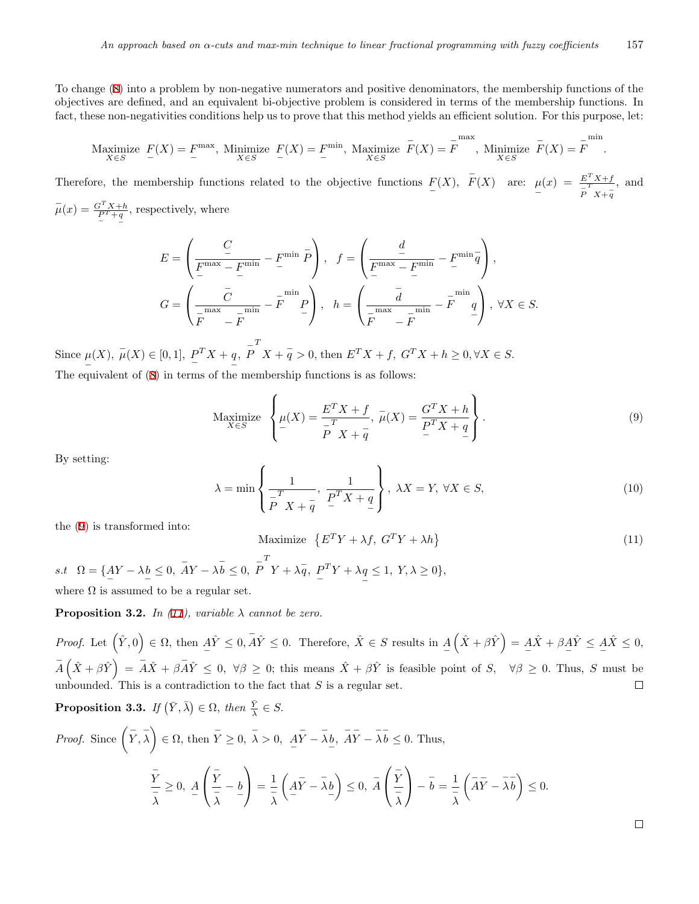To change [\(8](#page-3-5)) into a problem by non-negative numerators and positive denominators, the membership functions of the objectives are defined, and an equivalent bi-objective problem is considered in terms of the membership functions. In fact, these non-negativities conditions help us to prove that this method yields an efficient solution. For this purpose, let:

Maximize 
$$
F(X) = F^{\max}
$$
, Minimize  $F(X) = F^{\min}$ , Maximize  $F(X) = F$ , Minimize  $F(X) = F$ min,  $X \in S$ 

Therefore, the membership functions related to the objective functions  $F(X)$ ,  $F(X)$  are:  $\mu$ *−*  $(x) = \frac{E^T X + f}{T}$ *− P T X*+ *− q* , and  $\bar{\mu}(x) = \frac{G^T X + h}{P^T + q}$ , respectively, where

$$
E = \left(\frac{C}{F^{\max} - F^{\min}} - F^{\min} \overline{P}\right), \quad f = \left(\frac{d}{F^{\max} - F^{\min}} - F^{\min} \overline{q}\right),
$$
  

$$
G = \left(\frac{\overline{C}}{\overline{F}^{\max} - \overline{F}} - \overline{F}^{\min} \overline{P}\right), \quad h = \left(\frac{\overline{d}}{\overline{F}^{\max} - \overline{F}} - \overline{F}^{\min} \overline{q}\right), \forall X \in S.
$$

Since  $\mu(X)$ ,  $\bar{\mu}(X) \in [0, 1]$ ,  $P^T X + q$ ,  $\bar{P}$ *− −* The equivalent of [\(8](#page-3-5)) in terms of the membership functions is as follows:  $X + \overline{q} > 0$ , then  $E^T X + f$ ,  $G^T X + h \geq 0, \forall X \in S$ .

<span id="page-4-0"></span>
$$
\underset{X \in S}{\text{Maximize}} \left\{ \mu(X) = \frac{E^T X + f}{\frac{T}{P} X + \overline{q}}, \ \overline{\mu}(X) = \frac{G^T X + h}{\frac{P}{P} X + \frac{q}{P}} \right\}.
$$
\n
$$
(9)
$$

<span id="page-4-2"></span>By setting:

<span id="page-4-1"></span>
$$
\lambda = \min\left\{\frac{1}{\overline{P}^T X + \overline{q}}, \frac{1}{\overline{P}^T X + q}\right\}, \ \lambda X = Y, \ \forall X \in S,
$$
\n(10)

the [\(9](#page-4-0)) is transformed into:

*−*

Maximize 
$$
\{E^T Y + \lambda f, G^T Y + \lambda h\}
$$
 (11)

*s.t*  $\Omega = \{AY - \lambda b \leq 0, \overline{AY} - \lambda \overline{b} \leq 0, \overline{P}\}$ *T*  $Y + \lambda \overline{q}$ , *P*  ${}^{T}Y + \lambda q$ *−*  $\leq 1, Y, \lambda \geq 0$ <sup>}</sup>, where  $\Omega$  is assumed to be a regular set.

**Proposition 3.2.** *In ([11](#page-4-1)), variable*  $\lambda$  *cannot be zero.* 

*Proof.* Let  $(\hat{Y}, 0) \in \Omega$ , then  $\hat{A}\hat{Y} \leq 0$ ,  $\overline{A}\hat{Y} \leq 0$ . Therefore,  $\hat{X} \in S$  results in  $\underline{A}$  $(\hat{X} + \beta \hat{Y}) = A\hat{X} + \beta A\hat{Y} \leq A\hat{X} \leq 0,$  $\overline{A}(\hat{X}+\beta\hat{Y}) = \overline{A}\hat{X} + \beta\overline{A}\hat{Y} \leq 0$ ,  $\forall \beta \geq 0$ ; this means  $\hat{X} + \beta\hat{Y}$  is feasible point of  $S$ ,  $\forall \beta \geq 0$ . Thus, S must be unbounded. This is a contradiction to the fact that  $S$  is a regular set.  $\Box$ 

**Proposition 3.3.** If 
$$
(\bar{Y}, \bar{\lambda}) \in \Omega
$$
, then  $\bar{Y} \in S$ .  
\n*Proof.* Since  $(\bar{Y}, \bar{\lambda}) \in \Omega$ , then  $\bar{Y} \ge 0$ ,  $\bar{\lambda} > 0$ ,  $\bar{AY} - \bar{\lambda}b$ ,  $\bar{AY} - \bar{\lambda}b \le 0$ . Thus,  
\n
$$
\frac{\bar{Y}}{\bar{\lambda}} \ge 0, \ \underline{A} \left( \frac{\bar{Y}}{\bar{\lambda}} - b \right) = \frac{1}{\bar{\lambda}} \left( \underline{A}\bar{Y} - \bar{\lambda}b \right) \le 0, \ \bar{A} \left( \frac{\bar{Y}}{\bar{\lambda}} \right) - \bar{b} = \frac{1}{\bar{\lambda}} \left( \bar{AY} - \bar{\lambda}b \right) \le 0.
$$

 $\Box$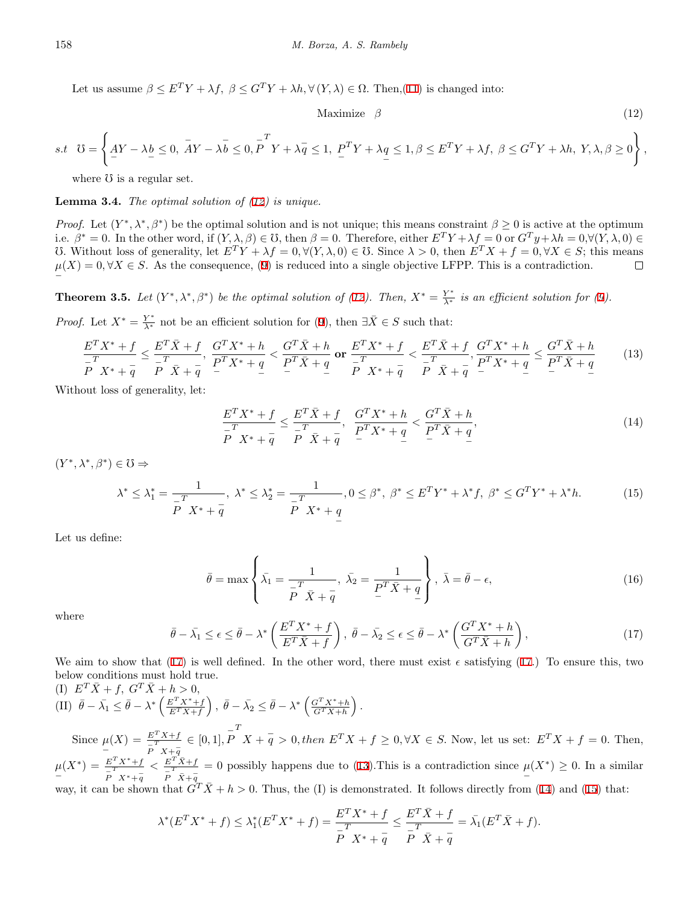Let us assume  $\beta \leq E^T Y + \lambda f$ ,  $\beta \leq G^T Y + \lambda h$ ,  $\forall (Y, \lambda) \in \Omega$ . Then,[\(11](#page-4-1)) is changed into:

<span id="page-5-0"></span>
$$
\text{Maximize} \quad \beta \tag{12}
$$

$$
s.t \quad \mho = \left\{ \underline{AY} - \lambda \underline{b} \leq 0, \ \overline{AY} - \lambda \overline{b} \leq 0, \ \overline{P}^T Y + \lambda \overline{q} \leq 1, \ \underline{P}^T Y + \lambda \underline{q} \leq 1, \beta \leq E^T Y + \lambda f, \ \beta \leq G^T Y + \lambda h, \ Y, \lambda, \beta \geq 0 \right\},
$$

where  $\sigma$  is a regular set.

**Lemma 3.4.** *The optimal solution of [\(12\)](#page-5-0) is unique.*

*Proof.* Let  $(Y^*, \lambda^*, \beta^*)$  be the optimal solution and is not unique; this means constraint  $\beta \geq 0$  is active at the optimum i.e.  $\beta^* = 0$ . In the other word, if  $(Y, \lambda, \beta) \in \mathbb{C}$ , then  $\beta = 0$ . Therefore, either  $E^T Y + \lambda f = 0$  or  $G^T y + \lambda h = 0, \forall (Y, \lambda, 0) \in \mathbb{C}$ U. Without loss of generality, let  $E^TY + \lambda f = 0, \forall (Y, \lambda, 0) \in \mathbb{U}$ . Since  $\lambda > 0$ , then  $E^T X + f = 0, \forall X \in S$ ; this means  $\mu(X) = 0, \forall X \in S$ . As the consequence, [\(9](#page-4-0)) is reduced into a single objective LFPP. This is a contradiction.  $\Box$ *−*

<span id="page-5-5"></span>**Theorem 3.5.** Let  $(Y^*, \lambda^*, \beta^*)$  be the optimal solution of ([12](#page-5-0)). Then,  $X^* = \frac{Y^*}{\lambda^*}$  is an efficient solution for ([9\)](#page-4-0).

<span id="page-5-2"></span>*Proof.* Let  $X^* = \frac{Y^*}{\lambda^*}$  not be an efficient solution for [\(9](#page-4-0)), then  $\exists \bar{X} \in S$  such that:

$$
\frac{E^T X^* + f}{E^T X^* + \bar{q}} \le \frac{E^T \bar{X} + f}{E^T \bar{X} + \bar{q}}, \quad \frac{G^T X^* + h}{E^T X^* + \bar{q}} < \frac{G^T \bar{X} + h}{E^T \bar{X} + \bar{q}} \text{ or } \frac{E^T X^* + f}{E^T X^* + \bar{q}} < \frac{E^T \bar{X} + f}{E^T \bar{X} + \bar{q}}, \quad \frac{G^T X^* + h}{E^T X^* + \bar{q}} \le \frac{G^T \bar{X} + h}{E^T \bar{X} + \bar{q}} \tag{13}
$$

Without loss of generality, let:

<span id="page-5-3"></span>
$$
\frac{E^T X^* + f}{E^T X^* + q} \le \frac{E^T \bar{X} + f}{E^T \bar{X} + q}, \quad \frac{G^T X^* + h}{E^T X^* + q} < \frac{G^T \bar{X} + h}{E^T \bar{X} + q},\tag{14}
$$

<span id="page-5-4"></span> $(Y^*, \lambda^*, \beta^*) \in \mathcal{O} \Rightarrow$ 

$$
\lambda^* \le \lambda_1^* = \frac{1}{\frac{T}{P} X^* + \bar{q}}, \ \lambda^* \le \lambda_2^* = \frac{1}{\frac{T}{P} X^* + \bar{q}}, 0 \le \beta^*, \ \beta^* \le E^T Y^* + \lambda^* f, \ \beta^* \le G^T Y^* + \lambda^* h. \tag{15}
$$

Let us define:

$$
\bar{\theta} = \max \left\{ \bar{\lambda}_1 = \frac{1}{\bar{P}^T \bar{X} + \bar{q}}, \ \bar{\lambda}_2 = \frac{1}{\bar{P}^T \bar{X} + q} \right\}, \ \bar{\lambda} = \bar{\theta} - \epsilon,
$$
\n(16)

<span id="page-5-1"></span>where

$$
\bar{\theta} - \bar{\lambda_1} \le \epsilon \le \bar{\theta} - \lambda^* \left( \frac{E^T X^* + f}{E^T \bar{X} + f} \right), \quad \bar{\theta} - \bar{\lambda_2} \le \epsilon \le \bar{\theta} - \lambda^* \left( \frac{G^T X^* + h}{G^T \bar{X} + h} \right), \tag{17}
$$

We aim to show that ([17\)](#page-5-1) is well defined. In the other word, there must exist  $\epsilon$  satisfying ([17.](#page-5-1)) To ensure this, two below conditions must hold true.

(I) 
$$
E^T \bar{X} + f
$$
,  $G^T \bar{X} + h > 0$ ,  
\n(II)  $\bar{\theta} - \bar{\lambda_1} \leq \bar{\theta} - \lambda^* \left( \frac{E^T X^* + f}{E^T \bar{X} + f} \right)$ ,  $\bar{\theta} - \bar{\lambda_2} \leq \bar{\theta} - \lambda^* \left( \frac{G^T X^* + h}{G^T \bar{X} + h} \right)$ .  
\nSince  $\mu(X) = \frac{E^T X + f}{F} \in [0, 1], P^T X + \bar{q} > 0$ , then  $E^T X + f \geq 0, \forall X \in S$ . Now, let us set:  $E^T X + f = 0$ . Then,  
\n $\mu(X^*) = \frac{E^T X^* + f}{F^T X^* + \bar{q}} < \frac{E^T \bar{X} + f}{F^T \bar{X} + \bar{q}} = 0$  possibly happens due to (13). This is a contradiction since  $\mu(X^*) \geq 0$ . In a similar way, it can be shown that  $G^T \bar{X} + h > 0$ . Thus, the (I) is demonstrated. It follows directly from (14) and (15) that:

$$
\lambda^*(E^T X^* + f) \le \lambda_1^*(E^T X^* + f) = \frac{E^T X^* + f}{\frac{T}{P} X^* + \frac{T}{Q}} \le \frac{E^T \bar{X} + f}{\frac{T}{P} \bar{X} + \frac{T}{Q}} = \bar{\lambda_1}(E^T \bar{X} + f).
$$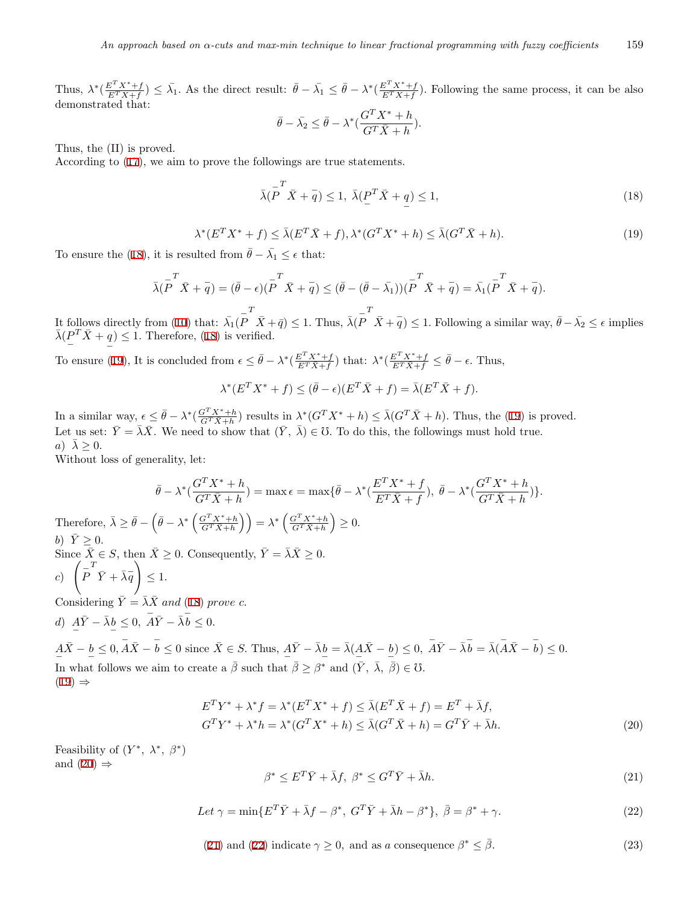Thus,  $\lambda^* \left( \frac{E^T X^* + f}{E^T \bar{X} + f} \right)$  $\frac{E^T X^* + f}{E^T \bar{X} + f}$   $\leq \bar{\lambda_1}$ . As the direct result:  $\bar{\theta} - \bar{\lambda_1} \leq \bar{\theta} - \lambda^* \left( \frac{E^T X^* + f}{E^T \bar{X} + f} \right)$  $\frac{E^T X^T + f}{E^T \bar{X} + f}$ . Following the same process, it can be also demonstrated that:

<span id="page-6-0"></span>
$$
\bar{\theta} - \bar{\lambda_2} \le \bar{\theta} - \lambda^* \left( \frac{G^T X^* + h}{G^T \bar{X} + h} \right).
$$

Thus, the (II) is proved.

According to ([17\)](#page-5-1), we aim to prove the followings are true statements.

$$
\bar{\lambda}(\overline{P}^T \bar{X} + \overline{q}) \le 1, \ \bar{\lambda}(\underline{P}^T \bar{X} + \underline{q}) \le 1,\tag{18}
$$

$$
\lambda^*(E^T X^* + f) \le \bar{\lambda}(E^T \bar{X} + f), \lambda^*(G^T X^* + h) \le \bar{\lambda}(G^T \bar{X} + h).
$$
\n(19)

<span id="page-6-1"></span>To ensure the ([18\)](#page-6-0), it is resulted from  $\bar{\theta} - \bar{\lambda_1} \leq \epsilon$  that:

$$
\bar{\lambda}(\stackrel{-}{P}^T \bar{X} + \bar{q}) = (\bar{\theta} - \epsilon)(\stackrel{-}{P}^T \bar{X} + \bar{q}) \leq (\bar{\theta} - (\bar{\theta} - \bar{\lambda_1}))(\stackrel{-}{P}^T \bar{X} + \bar{q}) = \bar{\lambda_1}(\stackrel{-}{P}^T \bar{X} + \bar{q}).
$$

It follows directly from ([10\)](#page-4-2) that:  $\bar{\lambda_1}(\bar{P})$  $\overline{X}$  +  $\overline{q}$ )  $\leq$  1. Thus,  $\overline{\lambda}$ ( $\overline{P}$  $T$  *X* +  $\overline{q}$ ) ≤ 1. Following a similar way,  $\overline{\theta} - \overline{\lambda_2} \leq \epsilon$  implies  $\bar{\lambda}$ ( $\frac{P^T \bar{X} + q}{\bar{X}}$  $) \leq 1$ . Therefore, [\(18](#page-6-0)) is verified.

*−* To ensure ([19\)](#page-6-1), It is concluded from  $\epsilon \leq \bar{\theta} - \lambda^* \left( \frac{E^T X^* + f}{E^T \bar{X} + f} \right)$  $\frac{E^T X^* + f}{E^T \bar{X} + f}$ ) that:  $\lambda^* \left( \frac{E^T X^* + f}{E^T \bar{X} + f} \leq \bar{\theta} - \epsilon$ . Thus,

$$
\lambda^*(E^T X^* + f) \le (\bar{\theta} - \epsilon)(E^T \bar{X} + f) = \bar{\lambda}(E^T \bar{X} + f).
$$

In a similar way,  $\epsilon \leq \bar{\theta} - \lambda^* \left( \frac{G^T X^* + h}{G^T \bar{X} + h} \right)$  results in  $\lambda^* (G^T X^* + h) \leq \bar{\lambda} (G^T \bar{X} + h)$ . Thus, the ([19\)](#page-6-1) is proved. Let us set:  $\bar{Y} = \bar{\lambda}\bar{X}$ . We need to show that  $(\bar{Y}, \bar{\lambda}) \in \mathcal{C}$ . To do this, the followings must hold true.  $\lambda > 0$ .

Without loss of generality, let:

*b*)  $\bar{Y} \geq 0$ .

 $Considering$ 

*−*

*c*) ( *− P*

$$
\bar{\theta} - \lambda^* \left( \frac{G^T X^* + h}{G^T \bar{X} + h} \right) = \max \epsilon = \max \{ \bar{\theta} - \lambda^* \left( \frac{E^T X^* + f}{E^T \bar{X} + f} \right), \ \bar{\theta} - \lambda^* \left( \frac{G^T X^* + h}{G^T \bar{X} + h} \right) \}.
$$
\nTherefore,  $\bar{\lambda} \ge \bar{\theta} - \left( \bar{\theta} - \lambda^* \left( \frac{G^T X^* + h}{G^T \bar{X} + h} \right) \right) = \lambda^* \left( \frac{G^T X^* + h}{G^T \bar{X} + h} \right) \ge 0.$   
\n*b*)  $\bar{Y} \ge 0.$   
\n*b*)  $\bar{Y} \ge 0.$   
\nSince  $\bar{X} \in S$ , then  $\bar{X} \ge 0$ . Consequently,  $\bar{Y} = \bar{\lambda} \bar{X} \ge 0.$   
\n*c*)  $\left( \bar{P} \bar{Y} + \bar{\lambda} \bar{q} \right) \le 1.$   
\nConsidering  $\bar{Y} = \bar{\lambda} \bar{X}$  and (18) prove *c*.  
\n*d*)  $\underline{A} \bar{Y} - \bar{\lambda} \underline{b} \le 0$ ,  $\overline{A} \bar{Y} - \bar{\lambda} \overline{b} \le 0.$ 

 $A\overline{X} - b \leq 0$ ,  $A\overline{X} - \overline{b} \leq 0$  since  $\overline{X} \in S$ . Thus,  $A\overline{Y} - \overline{\lambda}b = \overline{\lambda}(A\overline{X} - b) \leq 0$ ,  $A\overline{Y} - \overline{\lambda}b = \overline{\lambda}(\overline{A}\overline{X} - b) \leq 0$ . *− − − − − −* In what follows we aim to create a *β*¯ such that *β*¯ *≥ β <sup>∗</sup>* and (*Y ,* ¯ *λ,* ¯ *β*¯) *∈* f*.*  $(19) \Rightarrow$  $(19) \Rightarrow$ 

$$
E^T Y^* + \lambda^* f = \lambda^* (E^T X^* + f) \le \bar{\lambda} (E^T \bar{X} + f) = E^T + \bar{\lambda} f,
$$
  
\n
$$
G^T Y^* + \lambda^* h = \lambda^* (G^T X^* + h) \le \bar{\lambda} (G^T \bar{X} + h) = G^T \bar{Y} + \bar{\lambda} h.
$$
\n(20)

<span id="page-6-4"></span><span id="page-6-3"></span>Feasibility of  $(Y^*, \lambda^*, \beta^*)$ and  $(20) \Rightarrow$  $(20) \Rightarrow$ 

<span id="page-6-2"></span>
$$
\beta^* \le E^T \bar{Y} + \bar{\lambda} f, \ \beta^* \le G^T \bar{Y} + \bar{\lambda} h. \tag{21}
$$

$$
Let \ \gamma = \min \{ E^T \bar{Y} + \bar{\lambda} f - \beta^*, \ G^T \bar{Y} + \bar{\lambda} h - \beta^* \}, \ \bar{\beta} = \beta^* + \gamma. \tag{22}
$$

(21) and (22) indicate 
$$
\gamma \ge 0
$$
, and as a consequence  $\beta^* \le \overline{\beta}$ . (23)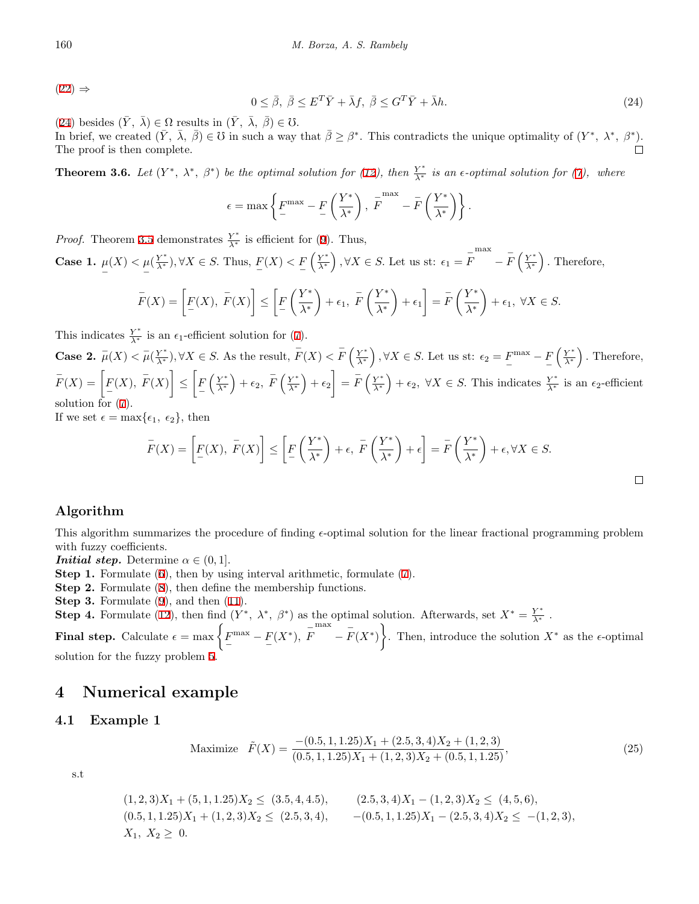<span id="page-7-1"></span>[\(22](#page-6-4)) *⇒*

$$
0 \leq \bar{\beta}, \ \bar{\beta} \leq E^T \bar{Y} + \bar{\lambda} f, \ \bar{\beta} \leq G^T \bar{Y} + \bar{\lambda} h. \tag{24}
$$

 $\Box$ 

 $(24)$  $(24)$  besides  $(\bar{Y}, \bar{\lambda}) \in \Omega$  results in  $(\bar{Y}, \bar{\lambda}, \bar{\beta}) \in \mathcal{O}$ .

In brief, we created  $(\bar{Y}, \bar{\lambda}, \bar{\beta}) \in \mathcal{C}$  in such a way that  $\bar{\beta} \geq \beta^*$ . This contradicts the unique optimality of  $(Y^*, \lambda^*, \beta^*)$ . The proof is then complete.  $\Box$ 

**Theorem 3.6.** Let  $(Y^*, \lambda^*, \beta^*)$  be the optimal solution for ([12\)](#page-5-0), then  $\frac{Y^*}{\lambda^*}$  is an  $\epsilon$ -optimal solution for [\(7](#page-3-4)), where

$$
\epsilon = \max \left\{ F^{\max} - F\left(\frac{Y^*}{\lambda^*}\right), \ F^{\max} - \bar{F}\left(\frac{Y^*}{\lambda^*}\right) \right\}.
$$

*Proof.* Theorem [3.5](#page-5-5) demonstrates  $\frac{Y^*}{\lambda^*}$  is efficient for ([9\)](#page-4-0). Thus,

**Case 1.** *µ −*  $(X) < \mu$ *−*  $(\frac{Y^*}{\lambda^*})$ ,  $\forall X \in S$ . Thus,  $\frac{F(X)}{S}$  $\left(\frac{Y^*}{\lambda^*}\right), \forall X \in S.$  Let us st:  $\epsilon_1 = \overline{F}$ max *− − F* ( *Y ∗ λ∗* ) *.* Therefore,

$$
\overline{F}(X) = \left[ \underline{F}(X), \ \overline{F}(X) \right] \le \left[ \underline{F}\left(\frac{Y^*}{\lambda^*}\right) + \epsilon_1, \ \overline{F}\left(\frac{Y^*}{\lambda^*}\right) + \epsilon_1 \right] = \overline{F}\left(\frac{Y^*}{\lambda^*}\right) + \epsilon_1, \ \forall X \in S.
$$

This indicates  $\frac{Y^*}{\lambda^*}$  is an  $\epsilon_1$ -efficient solution for ([7](#page-3-4)).

**Case 2.**  $\bar{\mu}(X) < \bar{\mu}(\frac{Y^*}{\lambda^*}), \forall X \in S$ . As the result,  $\bar{F}(X) < \bar{F}(\frac{Y^*}{\lambda^*}), \forall X \in S$ . Let us st:  $\epsilon_2 = F^{\max} - F(\frac{Y^*}{\lambda^*})$ . Therefore, −  $\overline{F}(X) = \left[ \underline{F}(X), \ \overline{F}(X) \right] \leq \left[ \underline{F}$  $\left(\frac{Y^*}{\lambda^*}\right)+\epsilon_2, \ \overline{F}\left(\frac{Y^*}{\lambda^*}\right)+\epsilon_2=\overline{F}\left(\frac{Y^*}{\lambda^*}\right)+\epsilon_2, \ \forall X \in S.$  This indicates  $\frac{Y^*}{\lambda^*}$  is an  $\epsilon_2$ -efficient solution for ([7\)](#page-3-4).

If we set  $\epsilon = \max{\epsilon_1, \epsilon_2}$ , then

$$
\overline{F}(X) = \left[ \underline{F}(X), \ \overline{F}(X) \right] \le \left[ \underline{F}\left(\frac{Y^*}{\lambda^*}\right) + \epsilon, \ \overline{F}\left(\frac{Y^*}{\lambda^*}\right) + \epsilon \right] = \overline{F}\left(\frac{Y^*}{\lambda^*}\right) + \epsilon, \forall X \in S.
$$

## **Algorithm**

This algorithm summarizes the procedure of finding *ϵ*-optimal solution for the linear fractional programming problem with fuzzy coefficients.

*Initial step.* Determine  $\alpha \in (0, 1]$ *.* 

- **Step 1.** Formulate [\(6](#page-3-3)), then by using interval arithmetic, formulate [\(7](#page-3-4)).
- **Step 2.** Formulate [\(8](#page-3-5)), then define the membership functions.
- **Step 3.** Formulate [\(9](#page-4-0)), and then ([11\)](#page-4-1).

**Step 4.** Formulate [\(12](#page-5-0)), then find  $(Y^*, \lambda^*, \beta^*)$  as the optimal solution. Afterwards, set  $X^* = \frac{Y^*}{\lambda^*}$ .

**Final step.** Calculate  $\epsilon = \max\left\{ \frac{F^{\max} - F(X^*)}{F}, \frac{\bar{F}}{F}\right\}$ max  $-\bar{F}(X^*)$ . Then, introduce the solution  $X^*$  as the  $\epsilon$ -optimal

solution for the fuzzy problem [5](#page-3-2).

## <span id="page-7-0"></span>**4 Numerical example**

## **4.1 Example 1**

Maximize 
$$
\tilde{F}(X) = \frac{-(0.5, 1, 1.25)X_1 + (2.5, 3, 4)X_2 + (1, 2, 3)}{(0.5, 1, 1.25)X_1 + (1, 2, 3)X_2 + (0.5, 1, 1.25)},
$$
\n
$$
(25)
$$

s.t

$$
(1,2,3)X1 + (5,1,1.25)X2 \le (3.5,4,4.5), \qquad (2.5,3,4)X1 - (1,2,3)X2 \le (4,5,6),(0.5,1,1.25)X1 + (1,2,3)X2 \le (2.5,3,4), \qquad -(0.5,1,1.25)X1 - (2.5,3,4)X2 \le -(1,2,3),X1, X2 \ge 0.
$$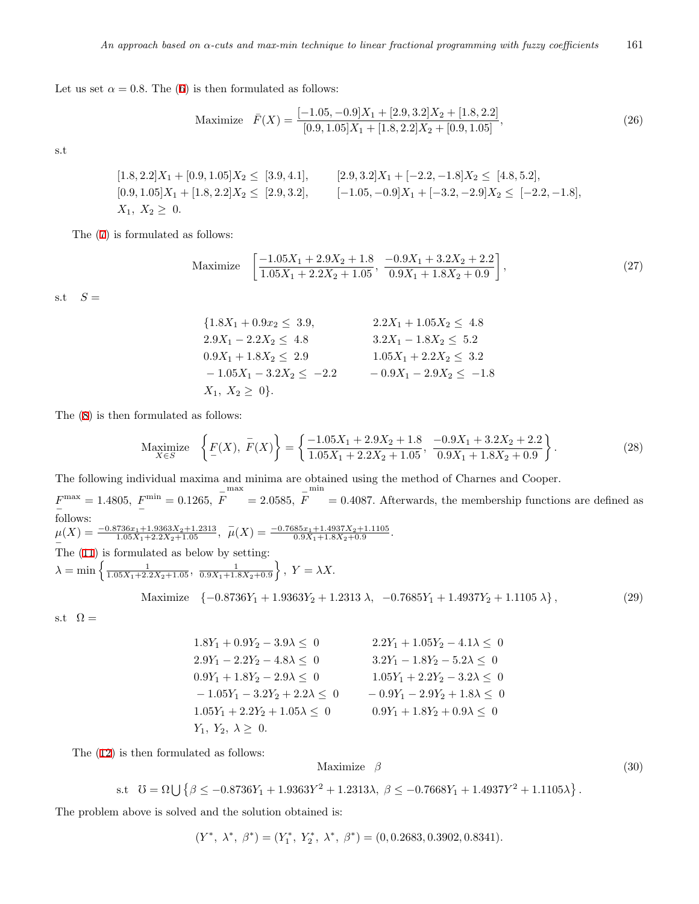Let us set  $\alpha = 0.8$ . The [\(6](#page-3-3)) is then formulated as follows:

Maximize 
$$
\bar{F}(X) = \frac{[-1.05, -0.9]X_1 + [2.9, 3.2]X_2 + [1.8, 2.2]}{[0.9, 1.05]X_1 + [1.8, 2.2]X_2 + [0.9, 1.05]},
$$
\n
$$
(26)
$$

s.t

$$
[1.8, 2.2]X_1 + [0.9, 1.05]X_2 \le [3.9, 4.1], \t [2.9, 3.2]X_1 + [-2.2, -1.8]X_2 \le [4.8, 5.2],
$$
  

$$
[0.9, 1.05]X_1 + [1.8, 2.2]X_2 \le [2.9, 3.2], \t [-1.05, -0.9]X_1 + [-3.2, -2.9]X_2 \le [-2.2, -1.8],
$$
  

$$
X_1, X_2 \ge 0.
$$

The [\(7](#page-3-4)) is formulated as follows:

Maximize 
$$
\left[\frac{-1.05X_1 + 2.9X_2 + 1.8}{1.05X_1 + 2.2X_2 + 1.05}, \frac{-0.9X_1 + 3.2X_2 + 2.2}{0.9X_1 + 1.8X_2 + 0.9}\right],
$$
 (27)

s.t  $S =$ 

$$
\{1.8X_1 + 0.9x_2 \le 3.9, \qquad 2.2X_1 + 1.05X_2 \le 4.8
$$
  
\n
$$
2.9X_1 - 2.2X_2 \le 4.8 \qquad 3.2X_1 - 1.8X_2 \le 5.2
$$
  
\n
$$
0.9X_1 + 1.8X_2 \le 2.9 \qquad 1.05X_1 + 2.2X_2 \le 3.2
$$
  
\n
$$
-1.05X_1 - 3.2X_2 \le -2.2 \qquad -0.9X_1 - 2.9X_2 \le -1.8
$$
  
\n
$$
X_1, X_2 \ge 0 \}.
$$

The ([8\)](#page-3-5) is then formulated as follows:

$$
\underset{X \in S}{\text{Maximize}} \left\{ F(X), \overline{F}(X) \right\} = \left\{ \frac{-1.05X_1 + 2.9X_2 + 1.8}{1.05X_1 + 2.2X_2 + 1.05}, \frac{-0.9X_1 + 3.2X_2 + 2.2}{0.9X_1 + 1.8X_2 + 0.9} \right\}. \tag{28}
$$

The following individual maxima and minima are obtained using the method of Charnes and Cooper.

min

 $F^{\text{max}}_n = 1.4805, F^{\text{min}}_n = 0.1265, \bar{F}$ *−* follows:  $= 2.0585, \ \bar{F}$ = 0*.*4087*.* Afterwards, the membership functions are defined as

 $\mu(X) = \frac{-0.8736x_1 + 1.9363X_2 + 1.2313}{1.05X_1 + 2.2X_2 + 1.05}, \quad \bar{\mu}(X) = \frac{-0.7685x_1 + 1.4937X_2 + 1.1105}{0.9X_1 + 1.8X_2 + 0.9}.$ 

max

*−* The ([11\)](#page-4-1) is formulated as below by setting:

 $\lambda = \min \left\{ \frac{1}{1.05X_1 + 2.2X_2 + 1.05}, \frac{1}{0.9X_1 + 1.8X_2 + 0.9} \right\}, Y = \lambda X.$ 

$$
\text{Maximize} \quad \{-0.8736Y_1 + 1.9363Y_2 + 1.2313\ \lambda, \ -0.7685Y_1 + 1.4937Y_2 + 1.1105\ \lambda\},\tag{29}
$$

s.t  $\Omega =$ 

 $1.8Y_1 + 0.9Y_2 - 3.9\lambda \leq 0$   $2.2Y_1 + 1.05Y_2 - 4.1\lambda \leq 0$  $2.9Y_1 - 2.2Y_2 - 4.8\lambda \leq 0$   $3.2Y_1 - 1.8Y_2 - 5.2\lambda \leq 0$  $0.9Y_1 + 1.8Y_2 - 2.9\lambda \leq 0$   $1.05Y_1 + 2.2Y_2 - 3.2\lambda \leq 0$  $-1.05Y_1 - 3.2Y_2 + 2.2\lambda \leq 0$   $-0.9Y_1 - 2.9Y_2 + 1.8\lambda \leq 0$  $1.05Y_1 + 2.2Y_2 + 1.05\lambda \leq 0$   $0.9Y_1 + 1.8Y_2 + 0.9\lambda \leq 0$ *Y*<sub>1</sub>*, Y*<sub>2</sub>*,*  $\lambda \geq 0$ *.* 

The [\(12](#page-5-0)) is then formulated as follows:

$$
Maximize \t \t \beta \t (30)
$$

$$
(30)
$$

*.*

s.t 
$$
U = \Omega \cup \{ \beta \le -0.8736Y_1 + 1.9363Y^2 + 1.2313\lambda, \ \beta \le -0.7668Y_1 + 1.4937Y^2 + 1.1105\lambda \}
$$

The problem above is solved and the solution obtained is:

$$
(Y^*, \lambda^*, \beta^*) = (Y_1^*, Y_2^*, \lambda^*, \beta^*) = (0, 0.2683, 0.3902, 0.8341).
$$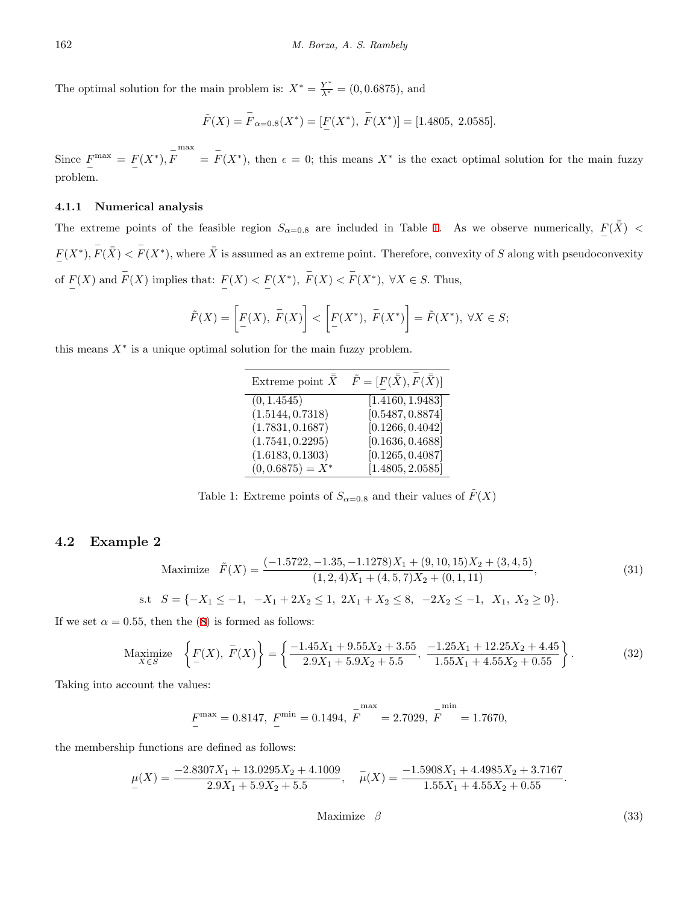The optimal solution for the main problem is:  $X^* = \frac{Y^*}{\lambda^*} = (0, 0.6875)$ , and

$$
\tilde{F}(X) = \overline{F}_{\alpha=0.8}(X^*) = [F(X^*), \overline{F}(X^*)] = [1.4805, 2.0585].
$$

Since  $F^{\max} = F(X^*), \overline{F}$ max  $=$   $\overline{F}(X^*)$ , then  $\epsilon = 0$ ; this means  $X^*$  is the exact optimal solution for the main fuzzy problem.

#### **4.1.1 Numerical analysis**

The extreme points of the feasible region  $S_{\alpha=0.8}$  are included in Table [1](#page-9-0). As we observe numerically,  $F(\bar{\bar{X}})$  < *−*  $F(X^*)$ ,  $\bar{F}(\bar{X}) < \bar{F}(X^*)$ , where  $\bar{X}$  is assumed as an extreme point. Therefore, convexity of S along with pseudoconvexity of  $F(X)$  and  $F(X)$  implies that:  $F(X) < F(X^*)$ ,  $F(X) < F(X^*)$ ,  $\forall X \in S$ . Thus,

$$
\tilde{F}(X) = \left[ \underline{F}(X), \ \overline{F}(X) \right] < \left[ \underline{F}(X^*), \ \overline{F}(X^*) \right] = \tilde{F}(X^*), \ \forall X \in S;
$$

this means  $X^*$  is a unique optimal solution for the main fuzzy problem.

<span id="page-9-0"></span>

| Extreme point $\bar{X}$ | $\tilde{F}=[F(\bar{\bar{X}}),F(\bar{\bar{X}})]$ |
|-------------------------|-------------------------------------------------|
| (0, 1.4545)             | [1.4160, 1.9483]                                |
| (1.5144, 0.7318)        | [0.5487, 0.8874]                                |
| (1.7831, 0.1687)        | [0.1266, 0.4042]                                |
| (1.7541, 0.2295)        | [0.1636, 0.4688]                                |
| (1.6183, 0.1303)        | [0.1265, 0.4087]                                |
| $(0, 0.6875) = X^*$     | [1.4805, 2.0585]                                |

Table 1: Extreme points of  $S_{\alpha=0.8}$  and their values of  $\tilde{F}(X)$ 

#### <span id="page-9-2"></span>**4.2 Example 2**

Maximize 
$$
\tilde{F}(X) = \frac{(-1.5722, -1.35, -1.1278)X_1 + (9, 10, 15)X_2 + (3, 4, 5)}{(1, 2, 4)X_1 + (4, 5, 7)X_2 + (0, 1, 11)},
$$
  
s.t  $S = \{-X_1 \le -1, -X_1 + 2X_2 \le 1, 2X_1 + X_2 \le 8, -2X_2 \le -1, X_1, X_2 \ge 0\}.$  (31)

If we set  $\alpha = 0.55$ , then the ([8\)](#page-3-5) is formed as follows:

$$
\underset{X \in S}{\text{Maximize}} \left\{ F(X), \overline{F}(X) \right\} = \left\{ \frac{-1.45X_1 + 9.55X_2 + 3.55}{2.9X_1 + 5.9X_2 + 5.5}, \frac{-1.25X_1 + 12.25X_2 + 4.45}{1.55X_1 + 4.55X_2 + 0.55} \right\}.
$$
\n(32)

Taking into account the values:

$$
F^{\max} = 0.8147, \ F^{\min} = 0.1494, \ F^{\max} = 2.7029, \ F^{\min} = 1.7670,
$$

<span id="page-9-1"></span>the membership functions are defined as follows:

$$
\mu(X) = \frac{-2.8307X_1 + 13.0295X_2 + 4.1009}{2.9X_1 + 5.9X_2 + 5.5}, \quad \overline{\mu}(X) = \frac{-1.5908X_1 + 4.4985X_2 + 3.7167}{1.55X_1 + 4.55X_2 + 0.55}.
$$

Maximize *β* 

$$
(33)
$$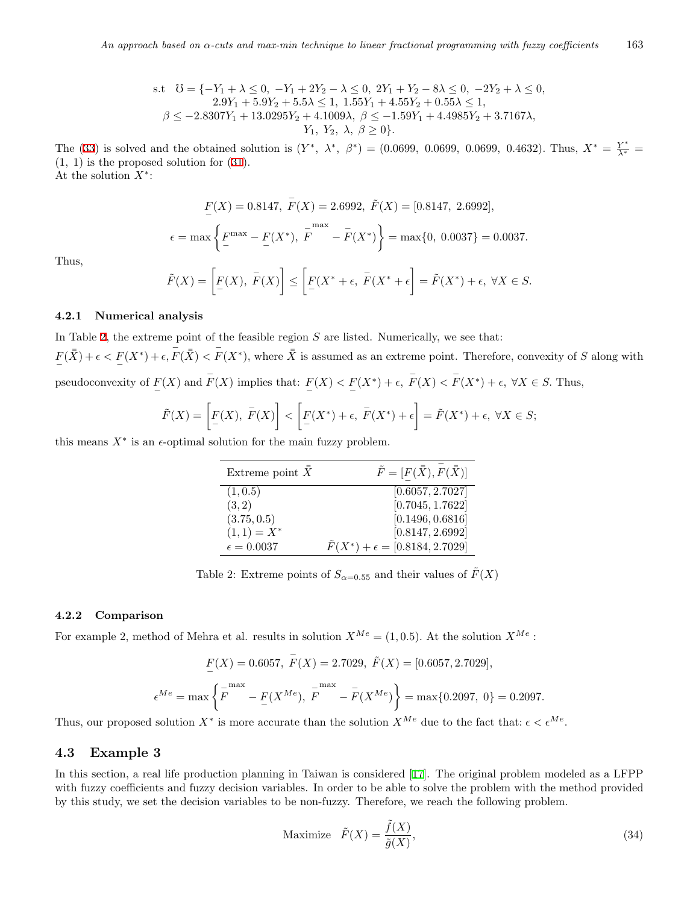s.t 
$$
\mathcal{O} = \{-Y_1 + \lambda \leq 0, -Y_1 + 2Y_2 - \lambda \leq 0, 2Y_1 + Y_2 - 8\lambda \leq 0, -2Y_2 + \lambda \leq 0, 2.9Y_1 + 5.9Y_2 + 5.5\lambda \leq 1, 1.55Y_1 + 4.55Y_2 + 0.55\lambda \leq 1, \beta \leq -2.8307Y_1 + 13.0295Y_2 + 4.1009\lambda, \beta \leq -1.59Y_1 + 4.4985Y_2 + 3.7167\lambda, Y_1, Y_2, \lambda, \beta \geq 0\}.
$$

The [\(33](#page-9-1)) is solved and the obtained solution is  $(Y^*, \lambda^*, \beta^*) = (0.0699, 0.0699, 0.0699, 0.4632)$ . Thus,  $X^* = \frac{Y^*}{\lambda^*} =$ (1*,* 1) is the proposed solution for ([31\)](#page-9-2).

At the solution *X<sup>∗</sup>* :

$$
\underline{F}(X) = 0.8147, \ \overline{F}(X) = 2.6992, \ \widetilde{F}(X) = [0.8147, \ 2.6992],
$$
\n
$$
\epsilon = \max\left\{\underline{F}^{\max} - \underline{F}(X^*), \ \overline{F}^{\max} - \overline{F}(X^*)\right\} = \max\{0, \ 0.0037\} = 0.0037.
$$

Thus,

$$
\tilde{F}(X) = \left[ \underline{F}(X), \ \overline{F}(X) \right] \le \left[ \underline{F}(X^* + \epsilon, \ \overline{F}(X^* + \epsilon)] = \tilde{F}(X^*) + \epsilon, \ \forall X \in S.
$$

#### **4.2.1 Numerical analysis**

In Table [2](#page-10-0), the extreme point of the feasible region *S* are listed. Numerically, we see that:  $F(\bar{\bar{X}}) + \epsilon < F(X^*) + \epsilon$ ,  $\bar{F}(\bar{\bar{X}}) < \bar{F}(X^*)$ , where  $\bar{\bar{X}}$  is assumed as an extreme point. Therefore, convexity of S along with − pseudoconvexity of  $F(X)$  and  $F(X)$  implies that:  $F(X) < F(X^*) + \epsilon$ ,  $F(X) < F(X^*) + \epsilon$ ,  $\forall X \in S$ . Thus,

$$
\tilde{F}(X) = \left[ \underline{F}(X), \ \overline{F}(X) \right] < \left[ \underline{F}(X^*) + \epsilon, \ \overline{F}(X^*) + \epsilon \right] = \tilde{F}(X^*) + \epsilon, \ \forall X \in S;
$$

this means  $X^*$  is an  $\epsilon$ -optimal solution for the main fuzzy problem.

<span id="page-10-0"></span>

| Extreme point $\bar{X}$ | $\tilde{F}=[F(\bar{\bar{X}}), F(\bar{\bar{X}})]$ |
|-------------------------|--------------------------------------------------|
| (1, 0.5)                | [0.6057, 2.7027]                                 |
| (3,2)                   | [0.7045, 1.7622]                                 |
| (3.75, 0.5)             | [0.1496, 0.6816]                                 |
| $(1,1) = X^*$           | [0.8147, 2.6992]                                 |
| $\epsilon = 0.0037$     | $\ddot{F}(X^*) + \epsilon = [0.8184, 2.7029]$    |

Table 2: Extreme points of  $S_{\alpha=0.55}$  and their values of  $\tilde{F}(X)$ 

#### **4.2.2 Comparison**

For example 2, method of Mehra et al. results in solution  $X^{Me} = (1, 0.5)$ . At the solution  $X^{Me}$ :

$$
F(X) = 0.6057, \ \overline{F}(X) = 2.7029, \ \widetilde{F}(X) = [0.6057, 2.7029],
$$

$$
\epsilon^{Me} = \max \left\{ \overline{F}^{\max} - \underline{F}(X^{Me}), \ \overline{F}^{\max} - \overline{F}(X^{Me}) \right\} = \max \{ 0.2097, \ 0 \} = 0.2097.
$$

Thus, our proposed solution  $X^*$  is more accurate than the solution  $X^{Me}$  due to the fact that:  $\epsilon < \epsilon^{Me}$ .

## **4.3 Example 3**

In this section, a real life production planning in Taiwan is considered [[17](#page-15-19)]. The original problem modeled as a LFPP with fuzzy coefficients and fuzzy decision variables. In order to be able to solve the problem with the method provided by this study, we set the decision variables to be non-fuzzy. Therefore, we reach the following problem.

Maximize 
$$
\tilde{F}(X) = \frac{\tilde{f}(X)}{\tilde{g}(X)},
$$
\n
$$
(34)
$$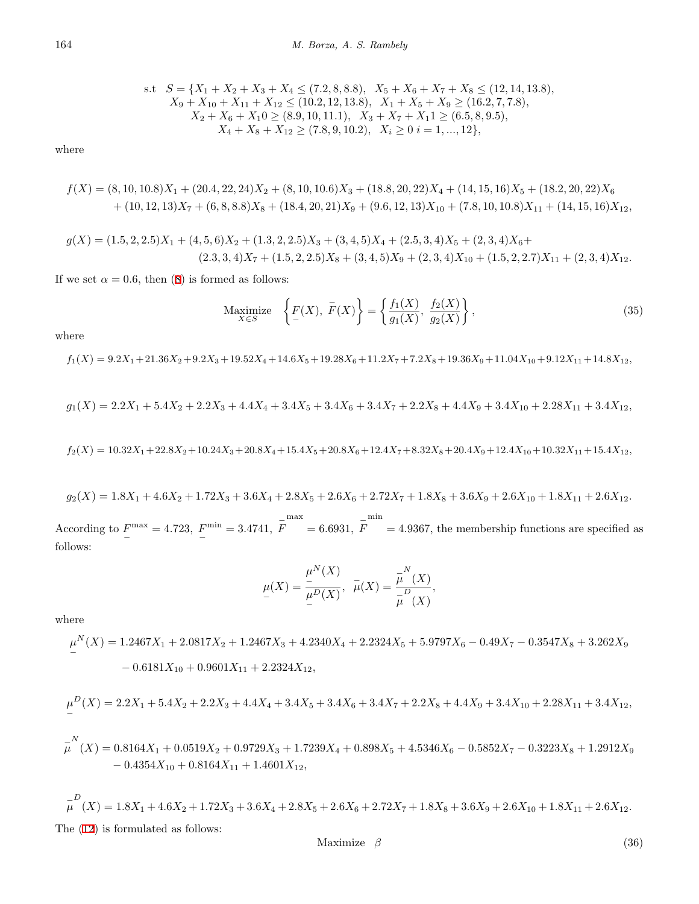s.t 
$$
S = \{X_1 + X_2 + X_3 + X_4 \le (7.2, 8, 8.8), X_5 + X_6 + X_7 + X_8 \le (12, 14, 13.8), X_9 + X_{10} + X_{11} + X_{12} \le (10.2, 12, 13.8), X_1 + X_5 + X_9 \ge (16.2, 7, 7.8), X_2 + X_6 + X_10 \ge (8.9, 10, 11.1), X_3 + X_7 + X_11 \ge (6.5, 8, 9.5), X_4 + X_8 + X_{12} \ge (7.8, 9, 10.2), X_i \ge 0 \quad i = 1, ..., 12\},
$$

where

$$
f(X) = (8, 10, 10.8)X_1 + (20.4, 22, 24)X_2 + (8, 10, 10.6)X_3 + (18.8, 20, 22)X_4 + (14, 15, 16)X_5 + (18.2, 20, 22)X_6 + (10, 12, 13)X_7 + (6, 8, 8.8)X_8 + (18.4, 20, 21)X_9 + (9.6, 12, 13)X_{10} + (7.8, 10, 10.8)X_{11} + (14, 15, 16)X_{12},
$$

$$
g(X) = (1.5, 2, 2.5)X_1 + (4, 5, 6)X_2 + (1.3, 2, 2.5)X_3 + (3, 4, 5)X_4 + (2.5, 3, 4)X_5 + (2, 3, 4)X_6 + (2.3, 3, 4)X_7 + (1.5, 2, 2.5)X_8 + (3, 4, 5)X_9 + (2, 3, 4)X_{10} + (1.5, 2, 2.7)X_{11} + (2, 3, 4)X_{12}.
$$

If we set  $\alpha = 0.6$ , then [\(8](#page-3-5)) is formed as follows:

$$
\underset{X \in S}{\text{Maximize}} \quad \left\{ \underline{F}(X), \ \overline{F}(X) \right\} = \left\{ \frac{f_1(X)}{g_1(X)}, \ \frac{f_2(X)}{g_2(X)} \right\},\tag{35}
$$

where

 $f_1(X) = 9.2X_1 + 21.36X_2 + 9.2X_3 + 19.52X_4 + 14.6X_5 + 19.28X_6 + 11.2X_7 + 7.2X_8 + 19.36X_9 + 11.04X_{10} + 9.12X_{11} + 14.8X_{12},$ 

$$
g_1(X) = 2.2X_1 + 5.4X_2 + 2.2X_3 + 4.4X_4 + 3.4X_5 + 3.4X_6 + 3.4X_7 + 2.2X_8 + 4.4X_9 + 3.4X_{10} + 2.28X_{11} + 3.4X_{12},
$$

 $f_2(X) = 10.32X_1 + 22.8X_2 + 10.24X_3 + 20.8X_4 + 15.4X_5 + 20.8X_6 + 12.4X_7 + 8.32X_8 + 20.4X_9 + 12.4X_{10} + 10.32X_{11} + 15.4X_{12}$ 

$$
g_2(X) = 1.8X_1 + 4.6X_2 + 1.72X_3 + 3.6X_4 + 2.8X_5 + 2.6X_6 + 2.72X_7 + 1.8X_8 + 3.6X_9 + 2.6X_{10} + 1.8X_{11} + 2.6X_{12}.
$$

According to  $F^{\text{max}}_0 = 4.723, F^{\text{min}}_0 = 3.4741, \bar{F}$ max  $= 6.6931, \ \bar{F}$ min = 4*.*9367*,* the membership functions are specified as follows:

$$
\mu(X) = \frac{\mu^{N}(X)}{\mu^{D}(X)}, \ \ \bar{\mu}(X) = \frac{\bar{\mu}^{N}(X)}{\bar{\mu}^{D}(X)},
$$

where

$$
\mu^N(X) = 1.2467X_1 + 2.0817X_2 + 1.2467X_3 + 4.2340X_4 + 2.2324X_5 + 5.9797X_6 - 0.49X_7 - 0.3547X_8 + 3.262X_9 - 0.6181X_{10} + 0.9601X_{11} + 2.2324X_{12},
$$

$$
\mu^{D}(X) = 2.2X_1 + 5.4X_2 + 2.2X_3 + 4.4X_4 + 3.4X_5 + 3.4X_6 + 3.4X_7 + 2.2X_8 + 4.4X_9 + 3.4X_{10} + 2.28X_{11} + 3.4X_{12},
$$

$$
\overline{\mu}^N(X) = 0.8164X_1 + 0.0519X_2 + 0.9729X_3 + 1.7239X_4 + 0.898X_5 + 4.5346X_6 - 0.5852X_7 - 0.3223X_8 + 1.2912X_9 - 0.4354X_{10} + 0.8164X_{11} + 1.4601X_{12},
$$

$$
\mu^D(X) = 1.8X_1 + 4.6X_2 + 1.72X_3 + 3.6X_4 + 2.8X_5 + 2.6X_6 + 2.72X_7 + 1.8X_8 + 3.6X_9 + 2.6X_{10} + 1.8X_{11} + 2.6X_{12}.
$$
  
The (12) is formulated as follows:

Maximize  $\beta$  (36)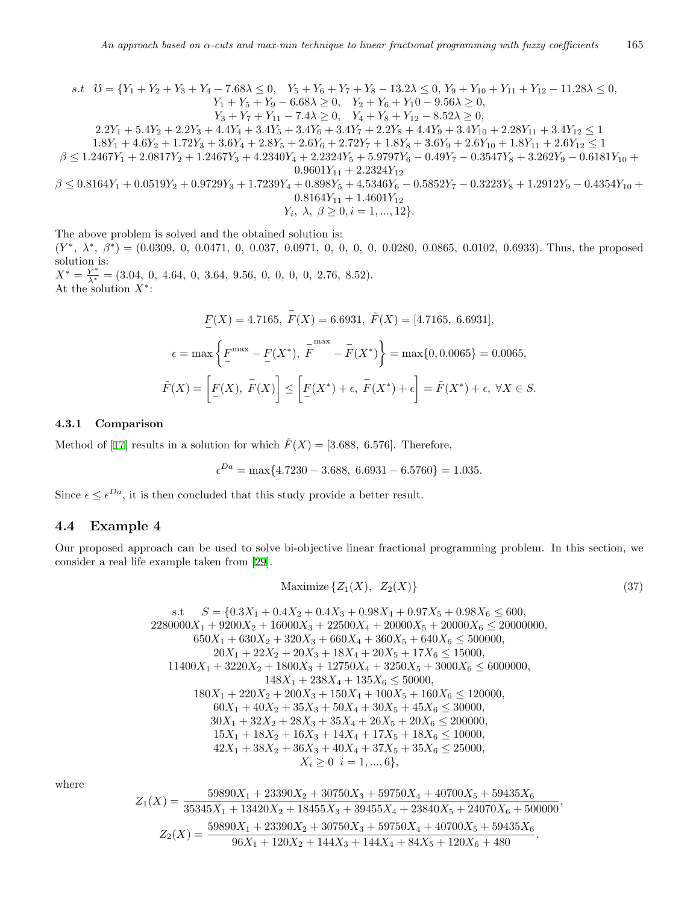s.t 
$$
\mathcal{U} = \{Y_1 + Y_2 + Y_3 + Y_4 - 7.68\lambda \le 0, Y_5 + Y_6 + Y_7 + Y_8 - 13.2\lambda \le 0, Y_9 + Y_{10} + Y_{11} + Y_{12} - 11.28\lambda \le 0, Y_1 + Y_5 + Y_9 - 6.68\lambda \ge 0, Y_2 + Y_6 + Y_10 - 9.56\lambda \ge 0, Y_3 + Y_7 + Y_{11} - 7.4\lambda \ge 0, Y_4 + Y_8 + Y_{12} - 8.52\lambda \ge 0, Y_2 + Y_6 + Y_{10} - 9.56\lambda \ge 0, Y_3 + Y_7 + Y_{11} - 7.4\lambda \ge 0, Y_4 + Y_8 + Y_{12} - 8.52\lambda \ge 0, Y_4 + Y_8 + Y_{12} - 8.52\lambda \ge 0, Y_5 + 1.4Y_2 + 2.2Y_3 + 4.4Y_4 + 3.4Y_5 + 3.4Y_6 + 3.4Y_7 + 2.2Y_8 + 4.4Y_9 + 3.4Y_{10} + 2.28Y_{11} + 3.4Y_{12} \le 1
$$
  
\n
$$
1.8Y_1 + 4.6Y_2 + 1.72Y_3 + 3.6Y_4 + 2.8Y_5 + 2.6Y_6 + 2.72Y_7 + 1.8Y_8 + 3.6Y_9 + 2.6Y_{10} + 1.8Y_{11} + 2.6Y_{12} \le 1
$$
  
\n
$$
\beta \le 1.2467Y_1 + 2.0817Y_2 + 1.2467Y_3 + 4.2340Y_4 + 2.2324Y_5 + 5.9797Y_6 - 0.49Y_7 - 0.3547Y_8 + 3.262Y_9 - 0.6181Y_{10} + 0.9601Y_{11} + 2.2324Y_{12}
$$
  
\n
$$
\beta \le 0.8164Y_1 + 0.0519Y_2 + 0.9729Y_3 + 1.7239Y_4 + 0.898Y_5 + 4.5346Y_6 - 0.5852
$$

$$
Y_i, \lambda, \beta \ge 0, i = 1, ..., 12 \}.
$$

The above problem is solved and the obtained solution is:

 $(Y^*, \lambda^*, \beta^*) = (0.0309, 0, 0.0471, 0, 0.037, 0.0971, 0, 0, 0, 0, 0.0280, 0.0865, 0.0102, 0.6933).$  Thus, the proposed solution is:

 $X^* = \frac{Y^*}{\lambda^*} = (3.04, 0, 4.64, 0, 3.64, 9.56, 0, 0, 0, 0, 2.76, 8.52).$ At the solution *X<sup>∗</sup>* :

$$
\underline{F}(X) = 4.7165, \ \overline{F}(X) = 6.6931, \ \widetilde{F}(X) = [4.7165, \ 6.6931],
$$
\n
$$
\epsilon = \max\left\{\underline{F}^{\max} - \underline{F}(X^*), \ \overline{F}^{\max} - \overline{F}(X^*)\right\} = \max\{0, 0.0065\} = 0.0065,
$$
\n
$$
\widetilde{F}(X) = \left[\underline{F}(X), \ \overline{F}(X)\right] \le \left[\underline{F}(X^*) + \epsilon, \ \overline{F}(X^*) + \epsilon\right] = \widetilde{F}(X^*) + \epsilon, \ \forall X \in S.
$$

#### **4.3.1 Comparison**

Method of [\[17](#page-15-19)] results in a solution for which  $\tilde{F}(X) = [3.688, 6.576]$ . Therefore,

$$
\epsilon^{Da} = \max\{4.7230 - 3.688, 6.6931 - 6.5760\} = 1.035.
$$

Since  $\epsilon \leq \epsilon^{Da}$ , it is then concluded that this study provide a better result.

## **4.4 Example 4**

Our proposed approach can be used to solve bi-objective linear fractional programming problem. In this section, we consider a real life example taken from [[29](#page-15-20)].

<span id="page-12-0"></span>
$$
\text{Maximize} \{Z_1(X), \ Z_2(X)\} \tag{37}
$$

s.t 
$$
S = \{0.3X_1 + 0.4X_2 + 0.4X_3 + 0.98X_4 + 0.97X_5 + 0.98X_6 \le 600, 2280000X_1 + 9200X_2 + 16000X_3 + 22500X_4 + 20000X_5 + 20000X_6 \le 20000000, 650X_1 + 630X_2 + 320X_3 + 660X_4 + 360X_5 + 640X_6 \le 500000, 20X_1 + 22X_2 + 20X_3 + 18X_4 + 20X_5 + 17X_6 \le 15000, 11400X_1 + 3220X_2 + 1800X_3 + 12750X_4 + 3250X_5 + 3000X_6 \le 6000000, 148X_1 + 238X_4 + 135X_6 \le 50000, 180X_1 + 220X_2 + 200X_3 + 150X_4 + 100X_5 + 160X_6 \le 120000, 60X_1 + 40X_2 + 35X_3 + 50X_4 + 30X_5 + 45X_6 \le 30000, 30X_1 + 32X_2 + 28X_3 + 35X_4 + 26X_5 + 20X_6 \le 200000, 15X_1 + 18X_2 + 16X_3 + 14X_4 + 17X_5 + 18X_6 \le 10000, 12X_1 + 38X_2 + 36X_3 + 40X_4 + 37X_5 + 35X_6 \le 25000, 42X_1 + 38X_2 + 36X_3 + 40X_4 + 37X_5 + 35X_6 \le 25000, 16X_1 + 2X_2 + 2X_3 + 2X_3 + 2X_4 + 2X_5 + 2X_6 \le 25000, 16X_1 + 2X_2 + 2X_3 + 3X_4 + 2X_5 + 2X_6 \le 2000000, 16X_1 + 2X_2 +
$$

where

$$
Z_1(X) = \frac{59890X_1 + 23390X_2 + 30750X_3 + 59750X_4 + 40700X_5 + 59435X_6}{35345X_1 + 13420X_2 + 18455X_3 + 39455X_4 + 23840X_5 + 24070X_6 + 500000},
$$
  

$$
Z_2(X) = \frac{59890X_1 + 23390X_2 + 30750X_3 + 59750X_4 + 40700X_5 + 59435X_6}{96X_1 + 120X_2 + 144X_3 + 144X_4 + 84X_5 + 120X_6 + 480}.
$$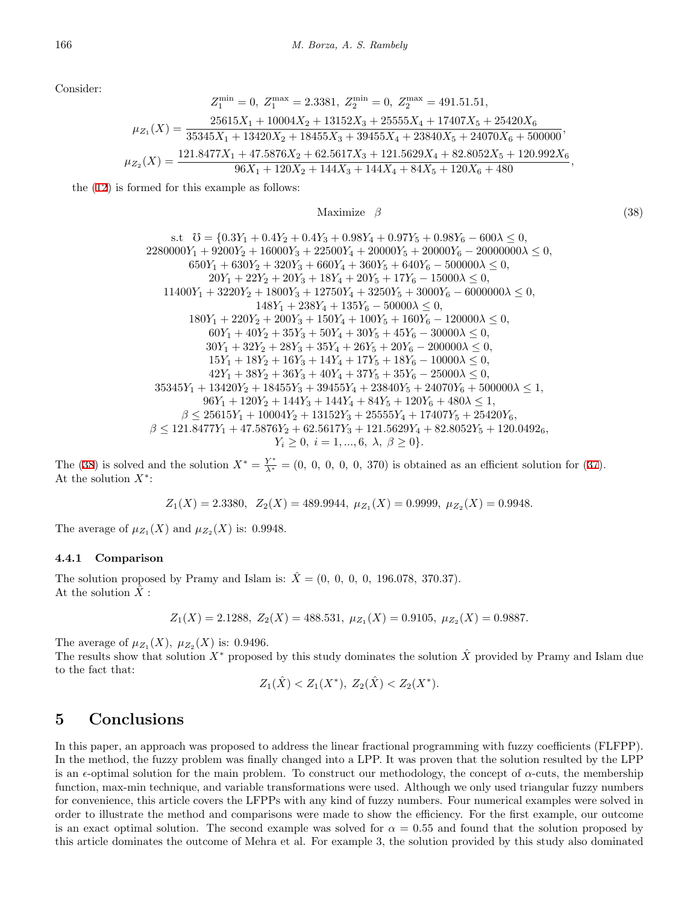Consider:

$$
Z_1^{\min}=0,\ Z_1^{\max}=2.3381,\ Z_2^{\min}=0,\ Z_2^{\max}=491.51.51,\\ \mu_{Z_1}(X)=\frac{25615X_1+10004X_2+13152X_3+25555X_4+17407X_5+25420X_6}{35345X_1+13420X_2+18455X_3+39455X_4+23840X_5+24070X_6+500000},\\ \mu_{Z_2}(X)=\frac{121.8477X_1+47.5876X_2+62.5617X_3+121.5629X_4+82.8052X_5+120.992X_6}{96X_1+120X_2+144X_3+144X_4+84X_5+120X_6+480},
$$

the [\(12](#page-5-0)) is formed for this example as follows:

<span id="page-13-1"></span>Maximize *β* (38)

s.t 
$$
U = \{0.3Y_1 + 0.4Y_2 + 0.4Y_3 + 0.98Y_4 + 0.97Y_5 + 0.98Y_6 - 600\lambda \le 0,
$$

$$
2280000Y_1 + 9200Y_2 + 16000Y_3 + 22500Y_4 + 20000Y_5 + 20000Y_6 - 20000000\lambda \le 0,
$$

$$
650Y_1 + 630Y_2 + 320Y_3 + 660Y_4 + 360Y_5 + 640Y_6 - 500000\lambda \le 0,
$$

$$
20Y_1 + 22Y_2 + 20Y_3 + 18Y_4 + 20Y_5 + 17Y_6 - 15000\lambda \le 0,
$$

$$
11400Y_1 + 3220Y_2 + 1800Y_3 + 12750Y_4 + 3250Y_5 + 3000Y_6 - 6000000\lambda \le 0,
$$

$$
148Y_1 + 238Y_4 + 135Y_6 - 50000\lambda \le 0,
$$

$$
180Y_1 + 220Y_2 + 200Y_3 + 150Y_4 + 100Y_5 + 160Y_6 - 120000\lambda \le 0,
$$

$$
60Y_1 + 40Y_2 + 35Y_3 + 50Y_4 + 30Y_5 + 45Y_6 - 30000\lambda \le 0,
$$

$$
30Y_1 + 32Y_2 + 28Y_3 + 35Y_4 + 26Y_5 + 20Y_6 - 200000\lambda \le 0,
$$

$$
15Y_1 + 18Y_2 + 16Y_3 + 14Y_4 + 17Y_5 + 18Y_6 - 10000\lambda \le 0,
$$

$$
42Y_1 + 38Y_2 + 36Y_3 + 40Y_4 + 37Y_5 + 35Y_6 - 25000\lambda \le 0,
$$

$$
42Y_1 + 38Y_2 + 36Y_3 + 40Y_4 + 37Y_5 + 35Y_6
$$

The ([38\)](#page-13-1) is solved and the solution  $X^* = \frac{Y^*}{\lambda^*} = (0, 0, 0, 0, 0, 370)$  is obtained as an efficient solution for ([37\)](#page-12-0). At the solution *X<sup>∗</sup>* :

$$
Z_1(X) = 2.3380, \ \ Z_2(X) = 489.9944, \ \mu_{Z_1}(X) = 0.9999, \ \mu_{Z_2}(X) = 0.9948.
$$

The average of  $\mu_{Z_1}(X)$  and  $\mu_{Z_2}(X)$  is: 0.9948.

#### **4.4.1 Comparison**

The solution proposed by Pramy and Islam is:  $\hat{X} = (0, 0, 0, 0, 196.078, 370.37)$ . At the solution  $\ddot{X}$  :

$$
Z_1(X) = 2.1288, Z_2(X) = 488.531, \mu_{Z_1}(X) = 0.9105, \mu_{Z_2}(X) = 0.9887.
$$

The average of  $\mu_{Z_1}(X)$ ,  $\mu_{Z_2}(X)$  is: 0.9496*.* 

The results show that solution  $X^*$  proposed by this study dominates the solution  $\hat{X}$  provided by Pramy and Islam due to the fact that:

$$
Z_1(\hat{X}) < Z_1(X^*), \ Z_2(\hat{X}) < Z_2(X^*).
$$

# <span id="page-13-0"></span>**5 Conclusions**

In this paper, an approach was proposed to address the linear fractional programming with fuzzy coefficients (FLFPP). In the method, the fuzzy problem was finally changed into a LPP. It was proven that the solution resulted by the LPP is an  $\epsilon$ -optimal solution for the main problem. To construct our methodology, the concept of  $\alpha$ -cuts, the membership function, max-min technique, and variable transformations were used. Although we only used triangular fuzzy numbers for convenience, this article covers the LFPPs with any kind of fuzzy numbers. Four numerical examples were solved in order to illustrate the method and comparisons were made to show the efficiency. For the first example, our outcome is an exact optimal solution. The second example was solved for  $\alpha = 0.55$  and found that the solution proposed by this article dominates the outcome of Mehra et al. For example 3, the solution provided by this study also dominated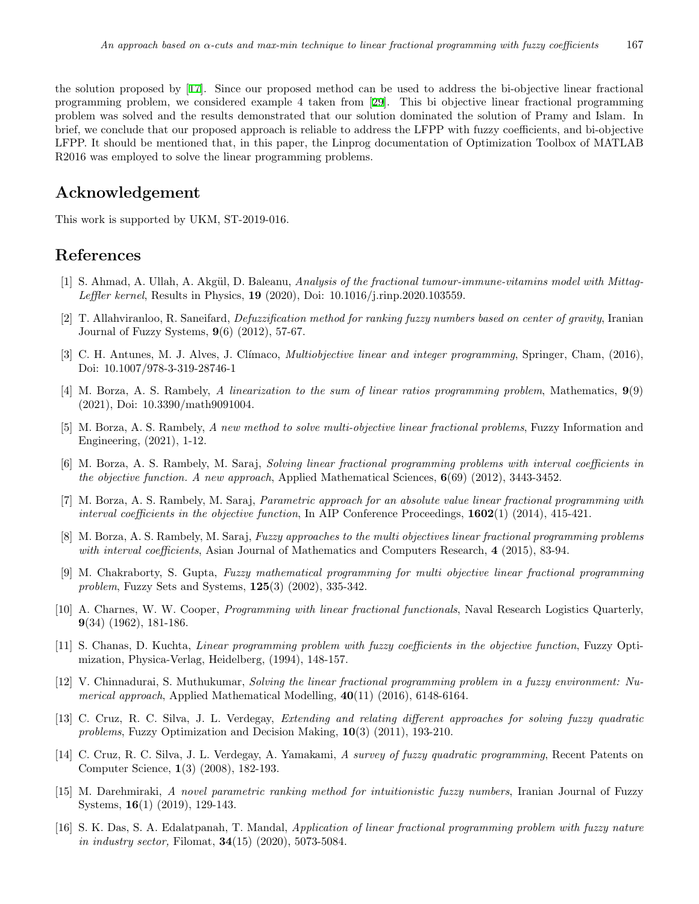the solution proposed by [[17\]](#page-15-19). Since our proposed method can be used to address the bi-objective linear fractional programming problem, we considered example 4 taken from [\[29](#page-15-20)]. This bi objective linear fractional programming problem was solved and the results demonstrated that our solution dominated the solution of Pramy and Islam. In brief, we conclude that our proposed approach is reliable to address the LFPP with fuzzy coefficients, and bi-objective LFPP. It should be mentioned that, in this paper, the Linprog documentation of Optimization Toolbox of MATLAB R2016 was employed to solve the linear programming problems.

# **Acknowledgement**

This work is supported by UKM, ST-2019-016.

# **References**

- <span id="page-14-0"></span>[1] S. Ahmad, A. Ullah, A. Akgül, D. Baleanu, *Analysis of the fractional tumour-immune-vitamins model with Mittag-Leffler kernel*, Results in Physics, **19** (2020), Doi: 10.1016/j.rinp.2020.103559.
- <span id="page-14-8"></span>[2] T. Allahviranloo, R. Saneifard, *Defuzzification method for ranking fuzzy numbers based on center of gravity*, Iranian Journal of Fuzzy Systems, **9**(6) (2012), 57-67.
- <span id="page-14-14"></span>[3] C. H. Antunes, M. J. Alves, J. Cl´ımaco, *Multiobjective linear and integer programming*, Springer, Cham, (2016), Doi: 10.1007/978-3-319-28746-1
- <span id="page-14-4"></span>[4] M. Borza, A. S. Rambely, *A linearization to the sum of linear ratios programming problem*, Mathematics, **9**(9) (2021), Doi: 10.3390/math9091004.
- <span id="page-14-5"></span>[5] M. Borza, A. S. Rambely, *A new method to solve multi-objective linear fractional problems*, Fuzzy Information and Engineering, (2021), 1-12.
- <span id="page-14-11"></span>[6] M. Borza, A. S. Rambely, M. Saraj, *Solving linear fractional programming problems with interval coefficients in the objective function. A new approach*, Applied Mathematical Sciences, **6**(69) (2012), 3443-3452.
- <span id="page-14-3"></span>[7] M. Borza, A. S. Rambely, M. Saraj, *Parametric approach for an absolute value linear fractional programming with interval coefficients in the objective function*, In AIP Conference Proceedings, **1602**(1) (2014), 415-421.
- <span id="page-14-13"></span>[8] M. Borza, A. S. Rambely, M. Saraj, *Fuzzy approaches to the multi objectives linear fractional programming problems with interval coefficients*, Asian Journal of Mathematics and Computers Research, **4** (2015), 83-94.
- <span id="page-14-12"></span>[9] M. Chakraborty, S. Gupta, *Fuzzy mathematical programming for multi objective linear fractional programming problem*, Fuzzy Sets and Systems, **125**(3) (2002), 335-342.
- <span id="page-14-2"></span>[10] A. Charnes, W. W. Cooper, *Programming with linear fractional functionals*, Naval Research Logistics Quarterly, **9**(34) (1962), 181-186.
- <span id="page-14-15"></span>[11] S. Chanas, D. Kuchta, *Linear programming problem with fuzzy coefficients in the objective function*, Fuzzy Optimization, Physica-Verlag, Heidelberg, (1994), 148-157.
- <span id="page-14-10"></span>[12] V. Chinnadurai, S. Muthukumar, *Solving the linear fractional programming problem in a fuzzy environment: Numerical approach*, Applied Mathematical Modelling, **40**(11) (2016), 6148-6164.
- <span id="page-14-6"></span>[13] C. Cruz, R. C. Silva, J. L. Verdegay, *Extending and relating different approaches for solving fuzzy quadratic problems*, Fuzzy Optimization and Decision Making, **10**(3) (2011), 193-210.
- <span id="page-14-7"></span>[14] C. Cruz, R. C. Silva, J. L. Verdegay, A. Yamakami, *A survey of fuzzy quadratic programming*, Recent Patents on Computer Science, **1**(3) (2008), 182-193.
- <span id="page-14-9"></span>[15] M. Darehmiraki, *A novel parametric ranking method for intuitionistic fuzzy numbers*, Iranian Journal of Fuzzy Systems, **16**(1) (2019), 129-143.
- <span id="page-14-1"></span>[16] S. K. Das, S. A. Edalatpanah, T. Mandal, *Application of linear fractional programming problem with fuzzy nature in industry sector,* Filomat, **34**(15) (2020), 5073-5084.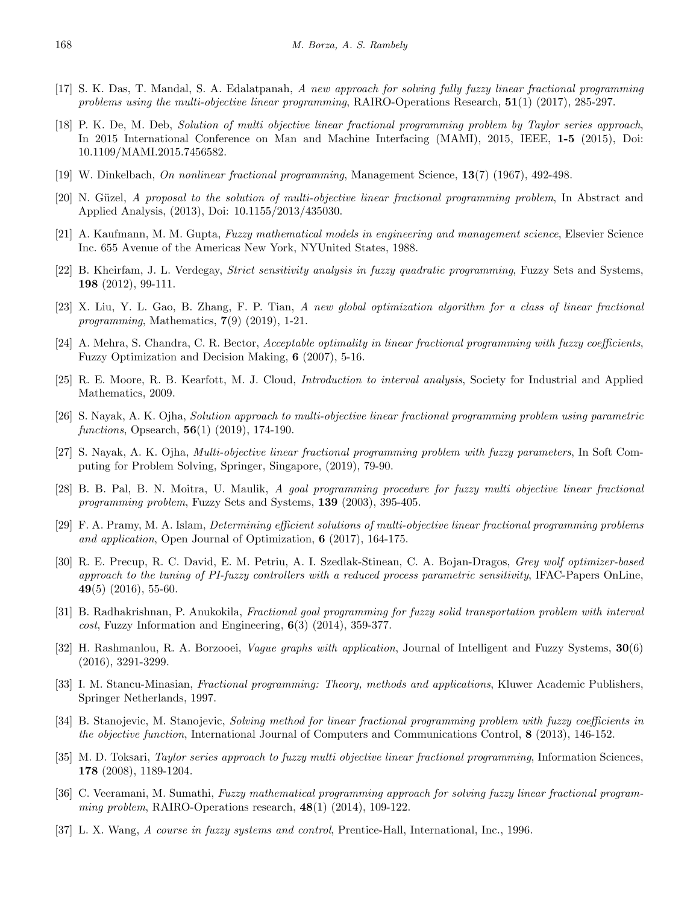- <span id="page-15-19"></span>[17] S. K. Das, T. Mandal, S. A. Edalatpanah, *A new approach for solving fully fuzzy linear fractional programming problems using the multi-objective linear programming*, RAIRO-Operations Research, **51**(1) (2017), 285-297.
- <span id="page-15-12"></span>[18] P. K. De, M. Deb, *Solution of multi objective linear fractional programming problem by Taylor series approach*, In 2015 International Conference on Man and Machine Interfacing (MAMI), 2015, IEEE, **1-5** (2015), Doi: 10.1109/MAMI.2015.7456582.
- <span id="page-15-2"></span>[19] W. Dinkelbach, *On nonlinear fractional programming*, Management Science, **13**(7) (1967), 492-498.
- <span id="page-15-3"></span>[20] N. Güzel, *A proposal to the solution of multi-objective linear fractional programming problem*, In Abstract and Applied Analysis, (2013), Doi: 10.1155/2013/435030.
- <span id="page-15-17"></span>[21] A. Kaufmann, M. M. Gupta, *Fuzzy mathematical models in engineering and management science*, Elsevier Science Inc. 655 Avenue of the Americas New York, NYUnited States, 1988.
- <span id="page-15-6"></span>[22] B. Kheirfam, J. L. Verdegay, *Strict sensitivity analysis in fuzzy quadratic programming*, Fuzzy Sets and Systems, **198** (2012), 99-111.
- <span id="page-15-5"></span>[23] X. Liu, Y. L. Gao, B. Zhang, F. P. Tian, *A new global optimization algorithm for a class of linear fractional programming*, Mathematics, **7**(9) (2019), 1-21.
- <span id="page-15-9"></span>[24] A. Mehra, S. Chandra, C. R. Bector, *Acceptable optimality in linear fractional programming with fuzzy coefficients*, Fuzzy Optimization and Decision Making, **6** (2007), 5-16.
- <span id="page-15-18"></span>[25] R. E. Moore, R. B. Kearfott, M. J. Cloud, *Introduction to interval analysis*, Society for Industrial and Applied Mathematics, 2009.
- <span id="page-15-4"></span>[26] S. Nayak, A. K. Ojha, *Solution approach to multi-objective linear fractional programming problem using parametric functions*, Opsearch, **56**(1) (2019), 174-190.
- <span id="page-15-15"></span>[27] S. Nayak, A. K. Ojha, *Multi-objective linear fractional programming problem with fuzzy parameters*, In Soft Computing for Problem Solving, Springer, Singapore, (2019), 79-90.
- <span id="page-15-13"></span>[28] B. B. Pal, B. N. Moitra, U. Maulik, *A goal programming procedure for fuzzy multi objective linear fractional programming problem*, Fuzzy Sets and Systems, **139** (2003), 395-405.
- <span id="page-15-20"></span>[29] F. A. Pramy, M. A. Islam, *Determining efficient solutions of multi-objective linear fractional programming problems and application*, Open Journal of Optimization, **6** (2017), 164-175.
- <span id="page-15-7"></span>[30] R. E. Precup, R. C. David, E. M. Petriu, A. I. Szedlak-Stinean, C. A. Bojan-Dragos, *Grey wolf optimizer-based approach to the tuning of PI-fuzzy controllers with a reduced process parametric sensitivity*, IFAC-Papers OnLine, **49**(5) (2016), 55-60.
- <span id="page-15-1"></span>[31] B. Radhakrishnan, P. Anukokila, *Fractional goal programming for fuzzy solid transportation problem with interval cost*, Fuzzy Information and Engineering, **6**(3) (2014), 359-377.
- <span id="page-15-8"></span>[32] H. Rashmanlou, R. A. Borzooei, *Vague graphs with application*, Journal of Intelligent and Fuzzy Systems, **30**(6) (2016), 3291-3299.
- <span id="page-15-0"></span>[33] I. M. Stancu-Minasian, *Fractional programming: Theory, methods and applications*, Kluwer Academic Publishers, Springer Netherlands, 1997.
- <span id="page-15-10"></span>[34] B. Stanojevic, M. Stanojevic, *Solving method for linear fractional programming problem with fuzzy coefficients in the objective function*, International Journal of Computers and Communications Control, **8** (2013), 146-152.
- <span id="page-15-14"></span>[35] M. D. Toksari, *Taylor series approach to fuzzy multi objective linear fractional programming*, Information Sciences, **178** (2008), 1189-1204.
- <span id="page-15-11"></span>[36] C. Veeramani, M. Sumathi, *Fuzzy mathematical programming approach for solving fuzzy linear fractional programming problem*, RAIRO-Operations research, **48**(1) (2014), 109-122.
- <span id="page-15-16"></span>[37] L. X. Wang, *A course in fuzzy systems and control*, Prentice-Hall, International, Inc., 1996.